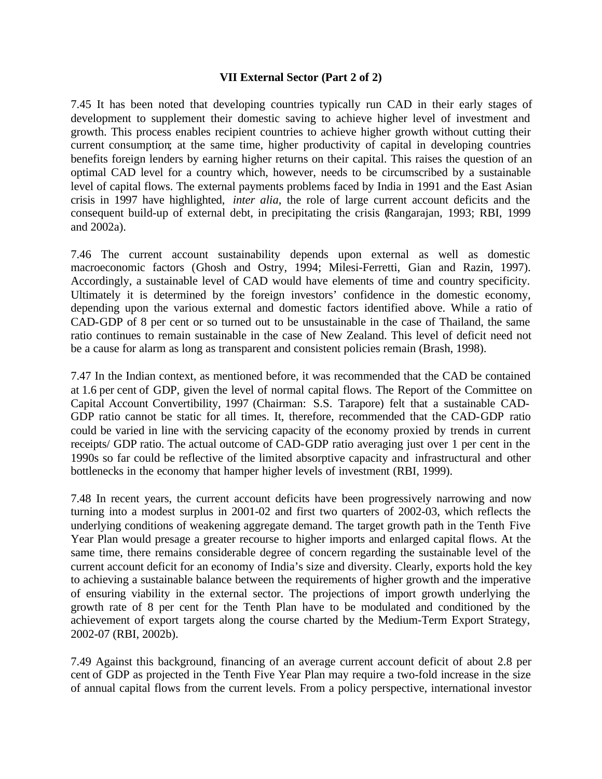#### **VII External Sector (Part 2 of 2)**

7.45 It has been noted that developing countries typically run CAD in their early stages of development to supplement their domestic saving to achieve higher level of investment and growth. This process enables recipient countries to achieve higher growth without cutting their current consumption; at the same time, higher productivity of capital in developing countries benefits foreign lenders by earning higher returns on their capital. This raises the question of an optimal CAD level for a country which, however, needs to be circumscribed by a sustainable level of capital flows. The external payments problems faced by India in 1991 and the East Asian crisis in 1997 have highlighted, *inter alia*, the role of large current account deficits and the consequent build-up of external debt, in precipitating the crisis (Rangarajan, 1993; RBI, 1999 and 2002a).

7.46 The current account sustainability depends upon external as well as domestic macroeconomic factors (Ghosh and Ostry, 1994; Milesi-Ferretti, Gian and Razin, 1997). Accordingly, a sustainable level of CAD would have elements of time and country specificity. Ultimately it is determined by the foreign investors' confidence in the domestic economy, depending upon the various external and domestic factors identified above. While a ratio of CAD-GDP of 8 per cent or so turned out to be unsustainable in the case of Thailand, the same ratio continues to remain sustainable in the case of New Zealand. This level of deficit need not be a cause for alarm as long as transparent and consistent policies remain (Brash, 1998).

7.47 In the Indian context, as mentioned before, it was recommended that the CAD be contained at 1.6 per cent of GDP, given the level of normal capital flows. The Report of the Committee on Capital Account Convertibility, 1997 (Chairman: S.S. Tarapore) felt that a sustainable CAD-GDP ratio cannot be static for all times. It, therefore, recommended that the CAD-GDP ratio could be varied in line with the servicing capacity of the economy proxied by trends in current receipts/ GDP ratio. The actual outcome of CAD-GDP ratio averaging just over 1 per cent in the 1990s so far could be reflective of the limited absorptive capacity and infrastructural and other bottlenecks in the economy that hamper higher levels of investment (RBI, 1999).

7.48 In recent years, the current account deficits have been progressively narrowing and now turning into a modest surplus in 2001-02 and first two quarters of 2002-03, which reflects the underlying conditions of weakening aggregate demand. The target growth path in the Tenth Five Year Plan would presage a greater recourse to higher imports and enlarged capital flows. At the same time, there remains considerable degree of concern regarding the sustainable level of the current account deficit for an economy of India's size and diversity. Clearly, exports hold the key to achieving a sustainable balance between the requirements of higher growth and the imperative of ensuring viability in the external sector. The projections of import growth underlying the growth rate of 8 per cent for the Tenth Plan have to be modulated and conditioned by the achievement of export targets along the course charted by the Medium-Term Export Strategy, 2002-07 (RBI, 2002b).

7.49 Against this background, financing of an average current account deficit of about 2.8 per cent of GDP as projected in the Tenth Five Year Plan may require a two-fold increase in the size of annual capital flows from the current levels. From a policy perspective, international investor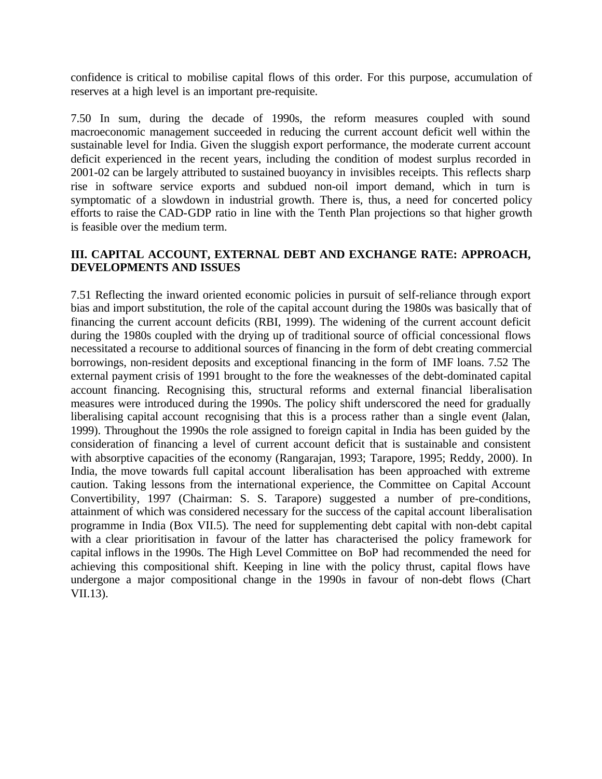confidence is critical to mobilise capital flows of this order. For this purpose, accumulation of reserves at a high level is an important pre-requisite.

7.50 In sum, during the decade of 1990s, the reform measures coupled with sound macroeconomic management succeeded in reducing the current account deficit well within the sustainable level for India. Given the sluggish export performance, the moderate current account deficit experienced in the recent years, including the condition of modest surplus recorded in 2001-02 can be largely attributed to sustained buoyancy in invisibles receipts. This reflects sharp rise in software service exports and subdued non-oil import demand, which in turn is symptomatic of a slowdown in industrial growth. There is, thus, a need for concerted policy efforts to raise the CAD-GDP ratio in line with the Tenth Plan projections so that higher growth is feasible over the medium term.

# **III. CAPITAL ACCOUNT, EXTERNAL DEBT AND EXCHANGE RATE: APPROACH, DEVELOPMENTS AND ISSUES**

7.51 Reflecting the inward oriented economic policies in pursuit of self-reliance through export bias and import substitution, the role of the capital account during the 1980s was basically that of financing the current account deficits (RBI, 1999). The widening of the current account deficit during the 1980s coupled with the drying up of traditional source of official concessional flows necessitated a recourse to additional sources of financing in the form of debt creating commercial borrowings, non-resident deposits and exceptional financing in the form of IMF loans. 7.52 The external payment crisis of 1991 brought to the fore the weaknesses of the debt-dominated capital account financing. Recognising this, structural reforms and external financial liberalisation measures were introduced during the 1990s. The policy shift underscored the need for gradually liberalising capital account recognising that this is a process rather than a single event (Jalan, 1999). Throughout the 1990s the role assigned to foreign capital in India has been guided by the consideration of financing a level of current account deficit that is sustainable and consistent with absorptive capacities of the economy (Rangarajan, 1993; Tarapore, 1995; Reddy, 2000). In India, the move towards full capital account liberalisation has been approached with extreme caution. Taking lessons from the international experience, the Committee on Capital Account Convertibility, 1997 (Chairman: S. S. Tarapore) suggested a number of pre-conditions, attainment of which was considered necessary for the success of the capital account liberalisation programme in India (Box VII.5). The need for supplementing debt capital with non-debt capital with a clear prioritisation in favour of the latter has characterised the policy framework for capital inflows in the 1990s. The High Level Committee on BoP had recommended the need for achieving this compositional shift. Keeping in line with the policy thrust, capital flows have undergone a major compositional change in the 1990s in favour of non-debt flows (Chart VII.13).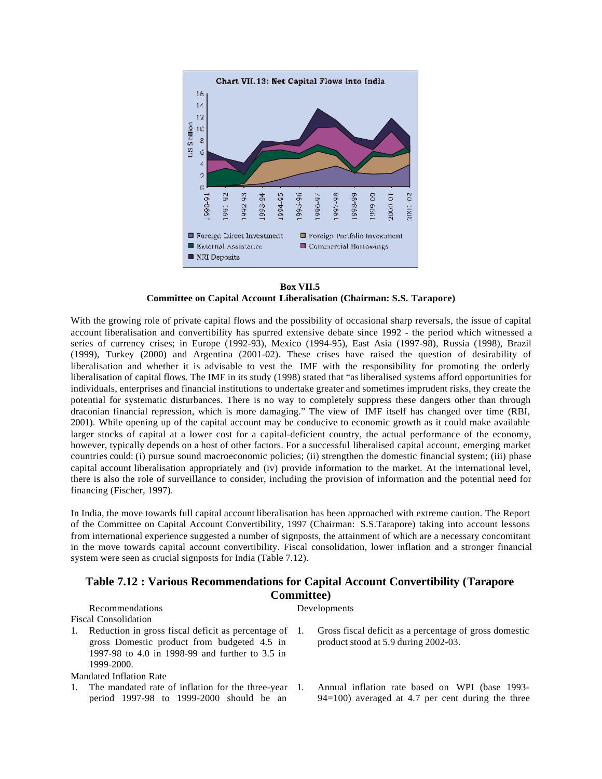

**Box VII.5 Committee on Capital Account Liberalisation (Chairman: S.S. Tarapore)**

With the growing role of private capital flows and the possibility of occasional sharp reversals, the issue of capital account liberalisation and convertibility has spurred extensive debate since 1992 - the period which witnessed a series of currency crises; in Europe (1992-93), Mexico (1994-95), East Asia (1997-98), Russia (1998), Brazil (1999), Turkey (2000) and Argentina (2001-02). These crises have raised the question of desirability of liberalisation and whether it is advisable to vest the IMF with the responsibility for promoting the orderly liberalisation of capital flows. The IMF in its study (1998) stated that "as liberalised systems afford opportunities for individuals, enterprises and financial institutions to undertake greater and sometimes imprudent risks, they create the potential for systematic disturbances. There is no way to completely suppress these dangers other than through draconian financial repression, which is more damaging." The view of IMF itself has changed over time (RBI, 2001). While opening up of the capital account may be conducive to economic growth as it could make available larger stocks of capital at a lower cost for a capital-deficient country, the actual performance of the economy, however, typically depends on a host of other factors. For a successful liberalised capital account, emerging market countries could: (i) pursue sound macroeconomic policies; (ii) strengthen the domestic financial system; (iii) phase capital account liberalisation appropriately and (iv) provide information to the market. At the international level, there is also the role of surveillance to consider, including the provision of information and the potential need for financing (Fischer, 1997).

In India, the move towards full capital account liberalisation has been approached with extreme caution. The Report of the Committee on Capital Account Convertibility, 1997 (Chairman: S.S.Tarapore) taking into account lessons from international experience suggested a number of signposts, the attainment of which are a necessary concomitant in the move towards capital account convertibility. Fiscal consolidation, lower inflation and a stronger financial system were seen as crucial signposts for India (Table 7.12).

#### **Table 7.12 : Various Recommendations for Capital Account Convertibility (Tarapore Committee)**

|    | Recommendations                                                                                  | Developments                                                                                           |
|----|--------------------------------------------------------------------------------------------------|--------------------------------------------------------------------------------------------------------|
|    | Fiscal Consolidation                                                                             |                                                                                                        |
| 1. | Reduction in gross fiscal deficit as percentage of 1.                                            | Gross fiscal deficit as a percentage of gross domestic                                                 |
|    | gross Domestic product from budgeted 4.5 in                                                      | product stood at 5.9 during 2002-03.                                                                   |
|    | 1997-98 to 4.0 in 1998-99 and further to 3.5 in                                                  |                                                                                                        |
|    | 1999-2000.                                                                                       |                                                                                                        |
|    | Mandated Inflation Rate                                                                          |                                                                                                        |
|    | 1. The mandated rate of inflation for the three-year<br>period 1997-98 to 1999-2000 should be an | Annual inflation rate based on WPI (base 1993-<br>$94=100$ ) averaged at 4.7 per cent during the three |
|    |                                                                                                  |                                                                                                        |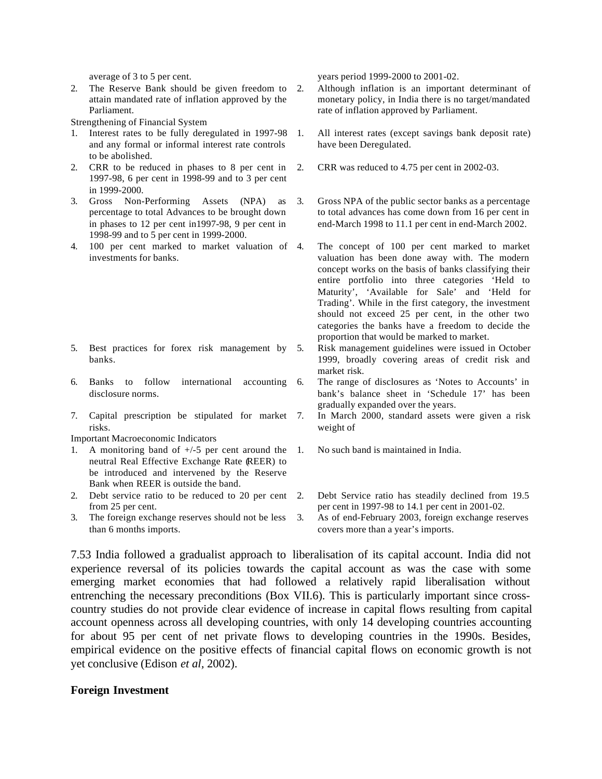2. The Reserve Bank should be given freedom to attain mandated rate of inflation approved by the Parliament.

Strengthening of Financial System

- Interest rates to be fully deregulated in 1997-98 and any formal or informal interest rate controls to be abolished.
- 2. CRR to be reduced in phases to 8 per cent in 1997-98, 6 per cent in 1998-99 and to 3 per cent in 1999-2000.
- 3. Gross Non-Performing Assets (NPA) as percentage to total Advances to be brought down in phases to 12 per cent in1997-98, 9 per cent in 1998-99 and to 5 per cent in 1999-2000.
- 4. 100 per cent marked to market valuation of investments for banks.

- 5. Best practices for forex risk management by banks.
- 6. Banks to follow international accounting disclosure norms.
- 7. Capital prescription be stipulated for market risks.
- Important Macroeconomic Indicators
- 1. A monitoring band of  $\pm/5$  per cent around the 1. neutral Real Effective Exchange Rate (REER) to be introduced and intervened by the Reserve Bank when REER is outside the band.
- 2. Debt service ratio to be reduced to 20 per cent from 25 per cent.
- 3. The foreign exchange reserves should not be less than 6 months imports.

average of 3 to 5 per cent. years period 1999-2000 to 2001-02.

- 2. Although inflation is an important determinant of monetary policy, in India there is no target/mandated rate of inflation approved by Parliament.
- 1. All interest rates (except savings bank deposit rate) have been Deregulated.
- 2. CRR was reduced to 4.75 per cent in 2002-03.
- 3. Gross NPA of the public sector banks as a percentage to total advances has come down from 16 per cent in end-March 1998 to 11.1 per cent in end-March 2002.
	- The concept of 100 per cent marked to market valuation has been done away with. The modern concept works on the basis of banks classifying their entire portfolio into three categories 'Held to Maturity', 'Available for Sale' and 'Held for Trading'. While in the first category, the investment should not exceed 25 per cent, in the other two categories the banks have a freedom to decide the proportion that would be marked to market.
- 5. Risk management guidelines were issued in October 1999, broadly covering areas of credit risk and market risk.
	- The range of disclosures as 'Notes to Accounts' in bank's balance sheet in 'Schedule 17' has been gradually expanded over the years.
- 7. In March 2000, standard assets were given a risk weight of
	- 1. No such band is maintained in India.
- 2. Debt Service ratio has steadily declined from 19.5 per cent in 1997-98 to 14.1 per cent in 2001-02.
- 3. As of end-February 2003, foreign exchange reserves covers more than a year's imports.

7.53 India followed a gradualist approach to liberalisation of its capital account. India did not experience reversal of its policies towards the capital account as was the case with some emerging market economies that had followed a relatively rapid liberalisation without entrenching the necessary preconditions (Box VII.6). This is particularly important since crosscountry studies do not provide clear evidence of increase in capital flows resulting from capital account openness across all developing countries, with only 14 developing countries accounting for about 95 per cent of net private flows to developing countries in the 1990s. Besides, empirical evidence on the positive effects of financial capital flows on economic growth is not yet conclusive (Edison *et al,* 2002).

#### **Foreign Investment**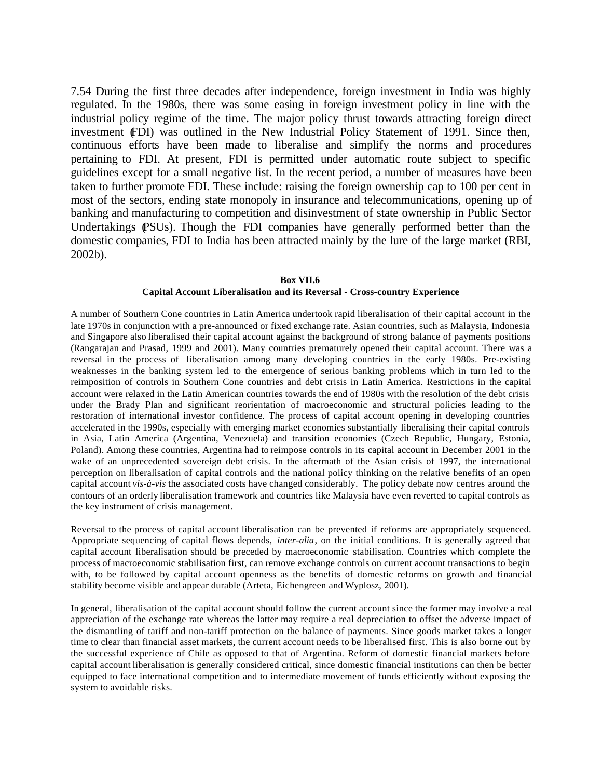7.54 During the first three decades after independence, foreign investment in India was highly regulated. In the 1980s, there was some easing in foreign investment policy in line with the industrial policy regime of the time. The major policy thrust towards attracting foreign direct investment (FDI) was outlined in the New Industrial Policy Statement of 1991. Since then, continuous efforts have been made to liberalise and simplify the norms and procedures pertaining to FDI. At present, FDI is permitted under automatic route subject to specific guidelines except for a small negative list. In the recent period, a number of measures have been taken to further promote FDI. These include: raising the foreign ownership cap to 100 per cent in most of the sectors, ending state monopoly in insurance and telecommunications, opening up of banking and manufacturing to competition and disinvestment of state ownership in Public Sector Undertakings (PSUs). Though the FDI companies have generally performed better than the domestic companies, FDI to India has been attracted mainly by the lure of the large market (RBI, 2002b).

#### **Box VII.6 Capital Account Liberalisation and its Reversal - Cross-country Experience**

A number of Southern Cone countries in Latin America undertook rapid liberalisation of their capital account in the late 1970s in conjunction with a pre-announced or fixed exchange rate. Asian countries, such as Malaysia, Indonesia and Singapore also liberalised their capital account against the background of strong balance of payments positions (Rangarajan and Prasad, 1999 and 2001). Many countries prematurely opened their capital account. There was a reversal in the process of liberalisation among many developing countries in the early 1980s. Pre-existing weaknesses in the banking system led to the emergence of serious banking problems which in turn led to the reimposition of controls in Southern Cone countries and debt crisis in Latin America. Restrictions in the capital account were relaxed in the Latin American countries towards the end of 1980s with the resolution of the debt crisis under the Brady Plan and significant reorientation of macroeconomic and structural policies leading to the restoration of international investor confidence. The process of capital account opening in developing countries accelerated in the 1990s, especially with emerging market economies substantially liberalising their capital controls in Asia, Latin America (Argentina, Venezuela) and transition economies (Czech Republic, Hungary, Estonia, Poland). Among these countries, Argentina had to reimpose controls in its capital account in December 2001 in the wake of an unprecedented sovereign debt crisis. In the aftermath of the Asian crisis of 1997, the international perception on liberalisation of capital controls and the national policy thinking on the relative benefits of an open capital account *vis-à-vis* the associated costs have changed considerably. The policy debate now centres around the contours of an orderly liberalisation framework and countries like Malaysia have even reverted to capital controls as the key instrument of crisis management.

Reversal to the process of capital account liberalisation can be prevented if reforms are appropriately sequenced. Appropriate sequencing of capital flows depends, *inter-alia*, on the initial conditions. It is generally agreed that capital account liberalisation should be preceded by macroeconomic stabilisation. Countries which complete the process of macroeconomic stabilisation first, can remove exchange controls on current account transactions to begin with, to be followed by capital account openness as the benefits of domestic reforms on growth and financial stability become visible and appear durable (Arteta, Eichengreen and Wyplosz, 2001).

In general, liberalisation of the capital account should follow the current account since the former may involve a real appreciation of the exchange rate whereas the latter may require a real depreciation to offset the adverse impact of the dismantling of tariff and non-tariff protection on the balance of payments. Since goods market takes a longer time to clear than financial asset markets, the current account needs to be liberalised first. This is also borne out by the successful experience of Chile as opposed to that of Argentina. Reform of domestic financial markets before capital account liberalisation is generally considered critical, since domestic financial institutions can then be better equipped to face international competition and to intermediate movement of funds efficiently without exposing the system to avoidable risks.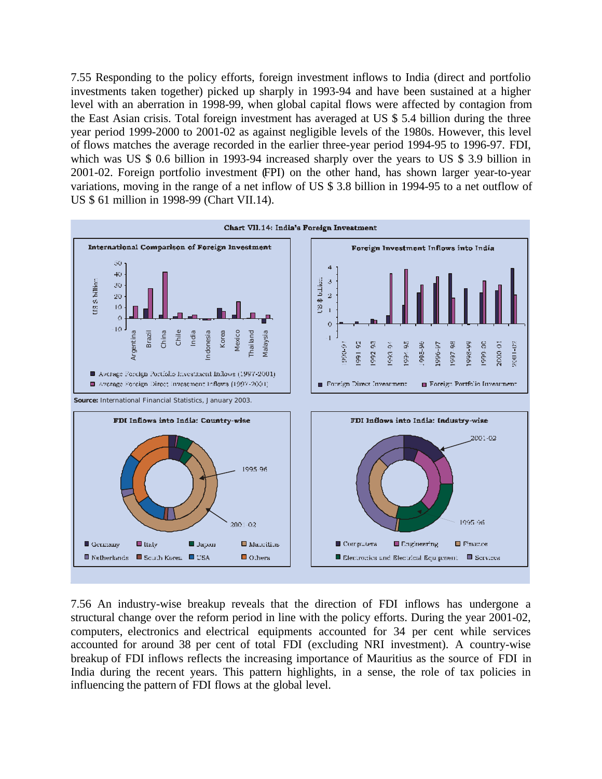7.55 Responding to the policy efforts, foreign investment inflows to India (direct and portfolio investments taken together) picked up sharply in 1993-94 and have been sustained at a higher level with an aberration in 1998-99, when global capital flows were affected by contagion from the East Asian crisis. Total foreign investment has averaged at US \$ 5.4 billion during the three year period 1999-2000 to 2001-02 as against negligible levels of the 1980s. However, this level of flows matches the average recorded in the earlier three-year period 1994-95 to 1996-97. FDI, which was US \$ 0.6 billion in 1993-94 increased sharply over the years to US \$ 3.9 billion in 2001-02. Foreign portfolio investment (FPI) on the other hand, has shown larger year-to-year variations, moving in the range of a net inflow of US \$ 3.8 billion in 1994-95 to a net outflow of US \$ 61 million in 1998-99 (Chart VII.14).



7.56 An industry-wise breakup reveals that the direction of FDI inflows has undergone a structural change over the reform period in line with the policy efforts. During the year 2001-02, computers, electronics and electrical equipments accounted for 34 per cent while services accounted for around 38 per cent of total FDI (excluding NRI investment). A country-wise breakup of FDI inflows reflects the increasing importance of Mauritius as the source of FDI in India during the recent years. This pattern highlights, in a sense, the role of tax policies in influencing the pattern of FDI flows at the global level.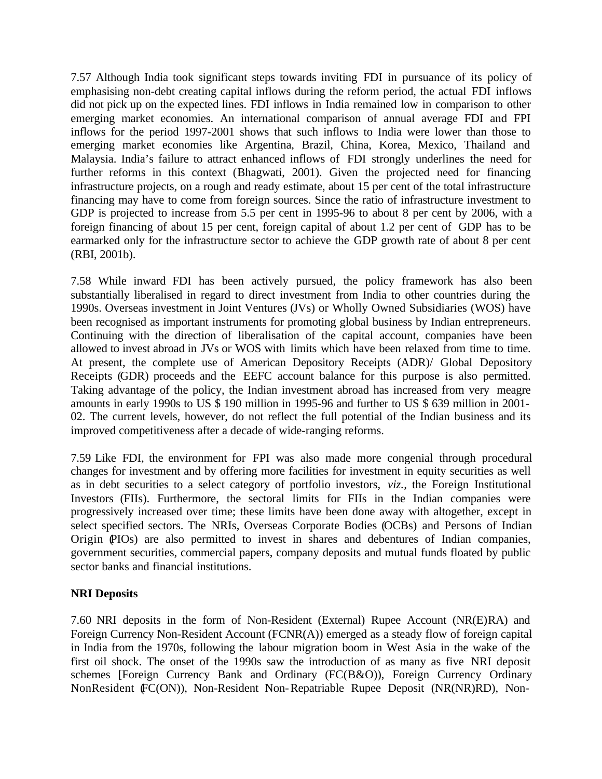7.57 Although India took significant steps towards inviting FDI in pursuance of its policy of emphasising non-debt creating capital inflows during the reform period, the actual FDI inflows did not pick up on the expected lines. FDI inflows in India remained low in comparison to other emerging market economies. An international comparison of annual average FDI and FPI inflows for the period 1997-2001 shows that such inflows to India were lower than those to emerging market economies like Argentina, Brazil, China, Korea, Mexico, Thailand and Malaysia. India's failure to attract enhanced inflows of FDI strongly underlines the need for further reforms in this context (Bhagwati, 2001). Given the projected need for financing infrastructure projects, on a rough and ready estimate, about 15 per cent of the total infrastructure financing may have to come from foreign sources. Since the ratio of infrastructure investment to GDP is projected to increase from 5.5 per cent in 1995-96 to about 8 per cent by 2006, with a foreign financing of about 15 per cent, foreign capital of about 1.2 per cent of GDP has to be earmarked only for the infrastructure sector to achieve the GDP growth rate of about 8 per cent (RBI, 2001b).

7.58 While inward FDI has been actively pursued, the policy framework has also been substantially liberalised in regard to direct investment from India to other countries during the 1990s. Overseas investment in Joint Ventures (JVs) or Wholly Owned Subsidiaries (WOS) have been recognised as important instruments for promoting global business by Indian entrepreneurs. Continuing with the direction of liberalisation of the capital account, companies have been allowed to invest abroad in JVs or WOS with limits which have been relaxed from time to time. At present, the complete use of American Depository Receipts (ADR)/ Global Depository Receipts (GDR) proceeds and the EEFC account balance for this purpose is also permitted. Taking advantage of the policy, the Indian investment abroad has increased from very meagre amounts in early 1990s to US \$ 190 million in 1995-96 and further to US \$ 639 million in 2001- 02. The current levels, however, do not reflect the full potential of the Indian business and its improved competitiveness after a decade of wide-ranging reforms.

7.59 Like FDI, the environment for FPI was also made more congenial through procedural changes for investment and by offering more facilities for investment in equity securities as well as in debt securities to a select category of portfolio investors, *viz.,* the Foreign Institutional Investors (FIIs). Furthermore, the sectoral limits for FIIs in the Indian companies were progressively increased over time; these limits have been done away with altogether, except in select specified sectors. The NRIs, Overseas Corporate Bodies (OCBs) and Persons of Indian Origin (PIOs) are also permitted to invest in shares and debentures of Indian companies, government securities, commercial papers, company deposits and mutual funds floated by public sector banks and financial institutions.

## **NRI Deposits**

7.60 NRI deposits in the form of Non-Resident (External) Rupee Account (NR(E)RA) and Foreign Currency Non-Resident Account (FCNR(A)) emerged as a steady flow of foreign capital in India from the 1970s, following the labour migration boom in West Asia in the wake of the first oil shock. The onset of the 1990s saw the introduction of as many as five NRI deposit schemes [Foreign Currency Bank and Ordinary (FC(B&O)), Foreign Currency Ordinary NonResident (FC(ON)), Non-Resident Non-Repatriable Rupee Deposit (NR(NR)RD), Non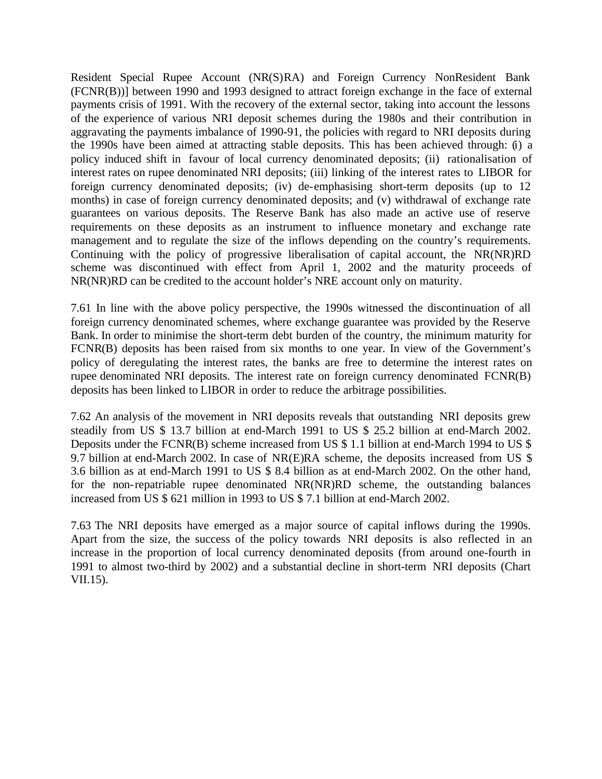Resident Special Rupee Account (NR(S)RA) and Foreign Currency NonResident Bank (FCNR(B))] between 1990 and 1993 designed to attract foreign exchange in the face of external payments crisis of 1991. With the recovery of the external sector, taking into account the lessons of the experience of various NRI deposit schemes during the 1980s and their contribution in aggravating the payments imbalance of 1990-91, the policies with regard to NRI deposits during the 1990s have been aimed at attracting stable deposits. This has been achieved through: (i) a policy induced shift in favour of local currency denominated deposits; (ii) rationalisation of interest rates on rupee denominated NRI deposits; (iii) linking of the interest rates to LIBOR for foreign currency denominated deposits; (iv) de-emphasising short-term deposits (up to 12 months) in case of foreign currency denominated deposits; and (v) withdrawal of exchange rate guarantees on various deposits. The Reserve Bank has also made an active use of reserve requirements on these deposits as an instrument to influence monetary and exchange rate management and to regulate the size of the inflows depending on the country's requirements. Continuing with the policy of progressive liberalisation of capital account, the NR(NR)RD scheme was discontinued with effect from April 1, 2002 and the maturity proceeds of NR(NR)RD can be credited to the account holder's NRE account only on maturity.

7.61 In line with the above policy perspective, the 1990s witnessed the discontinuation of all foreign currency denominated schemes, where exchange guarantee was provided by the Reserve Bank. In order to minimise the short-term debt burden of the country, the minimum maturity for FCNR(B) deposits has been raised from six months to one year. In view of the Government's policy of deregulating the interest rates, the banks are free to determine the interest rates on rupee denominated NRI deposits. The interest rate on foreign currency denominated FCNR(B) deposits has been linked to LIBOR in order to reduce the arbitrage possibilities.

7.62 An analysis of the movement in NRI deposits reveals that outstanding NRI deposits grew steadily from US \$ 13.7 billion at end-March 1991 to US \$ 25.2 billion at end-March 2002. Deposits under the FCNR(B) scheme increased from US \$ 1.1 billion at end-March 1994 to US \$ 9.7 billion at end-March 2002. In case of NR(E)RA scheme, the deposits increased from US \$ 3.6 billion as at end-March 1991 to US \$ 8.4 billion as at end-March 2002. On the other hand, for the non-repatriable rupee denominated NR(NR)RD scheme, the outstanding balances increased from US \$ 621 million in 1993 to US \$ 7.1 billion at end-March 2002.

7.63 The NRI deposits have emerged as a major source of capital inflows during the 1990s. Apart from the size, the success of the policy towards NRI deposits is also reflected in an increase in the proportion of local currency denominated deposits (from around one-fourth in 1991 to almost two-third by 2002) and a substantial decline in short-term NRI deposits (Chart VII.15).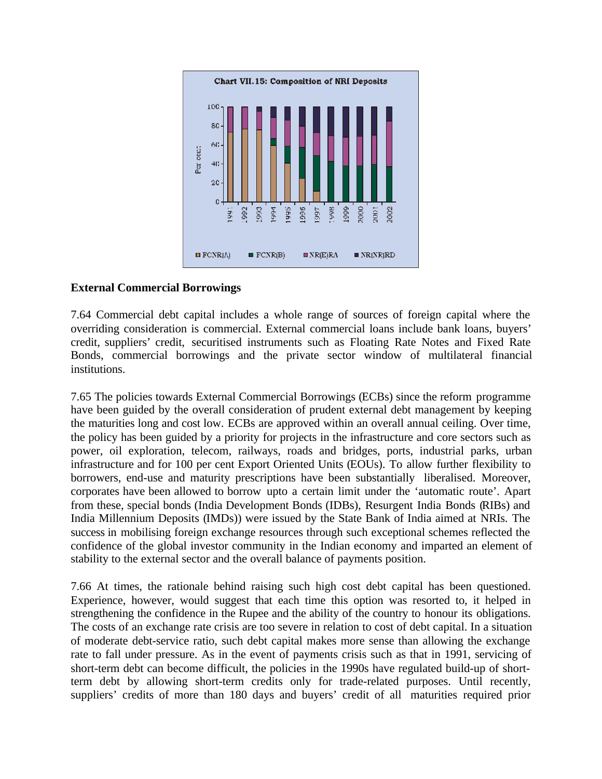

## **External Commercial Borrowings**

7.64 Commercial debt capital includes a whole range of sources of foreign capital where the overriding consideration is commercial. External commercial loans include bank loans, buyers' credit, suppliers' credit, securitised instruments such as Floating Rate Notes and Fixed Rate Bonds, commercial borrowings and the private sector window of multilateral financial institutions.

7.65 The policies towards External Commercial Borrowings (ECBs) since the reform programme have been guided by the overall consideration of prudent external debt management by keeping the maturities long and cost low. ECBs are approved within an overall annual ceiling. Over time, the policy has been guided by a priority for projects in the infrastructure and core sectors such as power, oil exploration, telecom, railways, roads and bridges, ports, industrial parks, urban infrastructure and for 100 per cent Export Oriented Units (EOUs). To allow further flexibility to borrowers, end-use and maturity prescriptions have been substantially liberalised. Moreover, corporates have been allowed to borrow upto a certain limit under the 'automatic route'. Apart from these, special bonds (India Development Bonds (IDBs), Resurgent India Bonds (RIBs) and India Millennium Deposits (IMDs)) were issued by the State Bank of India aimed at NRIs. The success in mobilising foreign exchange resources through such exceptional schemes reflected the confidence of the global investor community in the Indian economy and imparted an element of stability to the external sector and the overall balance of payments position.

7.66 At times, the rationale behind raising such high cost debt capital has been questioned. Experience, however, would suggest that each time this option was resorted to, it helped in strengthening the confidence in the Rupee and the ability of the country to honour its obligations. The costs of an exchange rate crisis are too severe in relation to cost of debt capital. In a situation of moderate debt-service ratio, such debt capital makes more sense than allowing the exchange rate to fall under pressure. As in the event of payments crisis such as that in 1991, servicing of short-term debt can become difficult, the policies in the 1990s have regulated build-up of shortterm debt by allowing short-term credits only for trade-related purposes. Until recently, suppliers' credits of more than 180 days and buyers' credit of all maturities required prior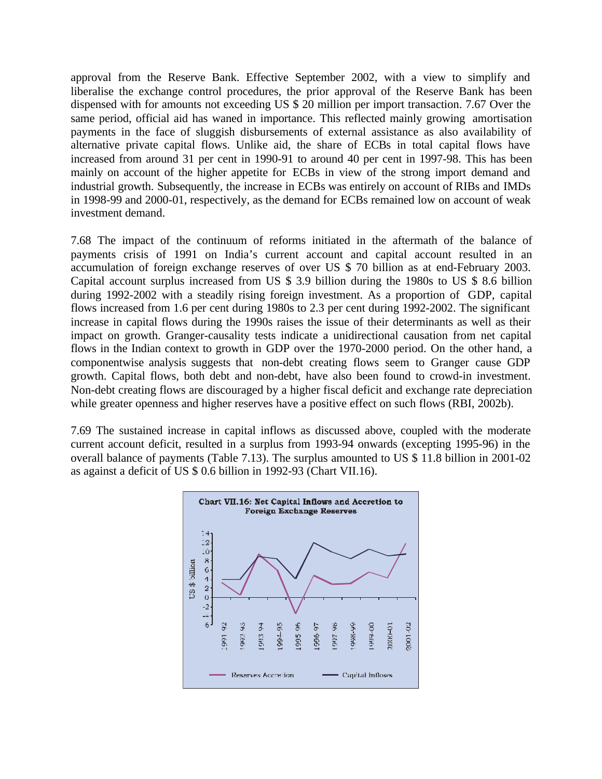approval from the Reserve Bank. Effective September 2002, with a view to simplify and liberalise the exchange control procedures, the prior approval of the Reserve Bank has been dispensed with for amounts not exceeding US \$ 20 million per import transaction. 7.67 Over the same period, official aid has waned in importance. This reflected mainly growing amortisation payments in the face of sluggish disbursements of external assistance as also availability of alternative private capital flows. Unlike aid, the share of ECBs in total capital flows have increased from around 31 per cent in 1990-91 to around 40 per cent in 1997-98. This has been mainly on account of the higher appetite for ECBs in view of the strong import demand and industrial growth. Subsequently, the increase in ECBs was entirely on account of RIBs and IMDs in 1998-99 and 2000-01, respectively, as the demand for ECBs remained low on account of weak investment demand.

7.68 The impact of the continuum of reforms initiated in the aftermath of the balance of payments crisis of 1991 on India's current account and capital account resulted in an accumulation of foreign exchange reserves of over US \$ 70 billion as at end-February 2003. Capital account surplus increased from US \$ 3.9 billion during the 1980s to US \$ 8.6 billion during 1992-2002 with a steadily rising foreign investment. As a proportion of GDP, capital flows increased from 1.6 per cent during 1980s to 2.3 per cent during 1992-2002. The significant increase in capital flows during the 1990s raises the issue of their determinants as well as their impact on growth. Granger-causality tests indicate a unidirectional causation from net capital flows in the Indian context to growth in GDP over the 1970-2000 period. On the other hand, a componentwise analysis suggests that non-debt creating flows seem to Granger cause GDP growth. Capital flows, both debt and non-debt, have also been found to crowd-in investment. Non-debt creating flows are discouraged by a higher fiscal deficit and exchange rate depreciation while greater openness and higher reserves have a positive effect on such flows (RBI, 2002b).

7.69 The sustained increase in capital inflows as discussed above, coupled with the moderate current account deficit, resulted in a surplus from 1993-94 onwards (excepting 1995-96) in the overall balance of payments (Table 7.13). The surplus amounted to US \$ 11.8 billion in 2001-02 as against a deficit of US \$ 0.6 billion in 1992-93 (Chart VII.16).

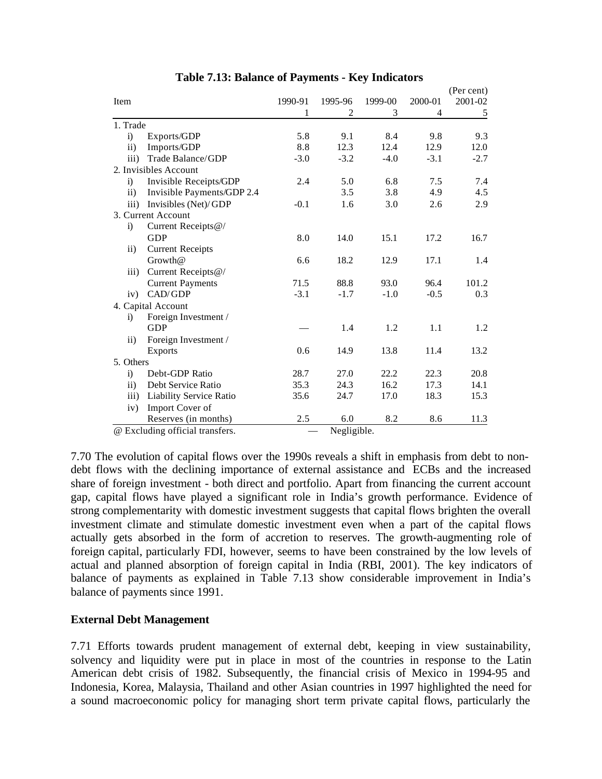|                      |                                 |         |             |         |         | (Per cent) |
|----------------------|---------------------------------|---------|-------------|---------|---------|------------|
| Item                 |                                 | 1990-91 | 1995-96     | 1999-00 | 2000-01 | 2001-02    |
|                      |                                 | 1       | 2           | 3       | 4       | 5          |
| 1. Trade             |                                 |         |             |         |         |            |
| $\ddot{\mathbf{i}}$  | Exports/GDP                     | 5.8     | 9.1         | 8.4     | 9.8     | 9.3        |
| ii)                  | Imports/GDP                     | 8.8     | 12.3        | 12.4    | 12.9    | 12.0       |
| $\overline{iii}$     | Trade Balance/GDP               | $-3.0$  | $-3.2$      | $-4.0$  | $-3.1$  | $-2.7$     |
|                      | 2. Invisibles Account           |         |             |         |         |            |
| i)                   | Invisible Receipts/GDP          | 2.4     | 5.0         | 6.8     | 7.5     | 7.4        |
| $\mathbf{ii}$        | Invisible Payments/GDP 2.4      |         | 3.5         | 3.8     | 4.9     | 4.5        |
| iii)                 | Invisibles (Net)/GDP            | $-0.1$  | 1.6         | 3.0     | 2.6     | 2.9        |
|                      | 3. Current Account              |         |             |         |         |            |
| $\ddot{i}$           | Current Receipts@/              |         |             |         |         |            |
|                      | <b>GDP</b>                      | 8.0     | 14.0        | 15.1    | 17.2    | 16.7       |
| $\rm ii)$            | <b>Current Receipts</b>         |         |             |         |         |            |
|                      | Growth@                         | 6.6     | 18.2        | 12.9    | 17.1    | 1.4        |
| $\ddot{\mathbf{ii}}$ | Current Receipts@/              |         |             |         |         |            |
|                      | <b>Current Payments</b>         | 71.5    | 88.8        | 93.0    | 96.4    | 101.2      |
| iv)                  | CAD/GDP                         | $-3.1$  | $-1.7$      | $-1.0$  | $-0.5$  | 0.3        |
|                      | 4. Capital Account              |         |             |         |         |            |
| $\ddot{i}$           | Foreign Investment /            |         |             |         |         |            |
|                      | <b>GDP</b>                      |         | 1.4         | 1.2     | 1.1     | 1.2        |
| $\rm ii)$            | Foreign Investment /            |         |             |         |         |            |
|                      | <b>Exports</b>                  | 0.6     | 14.9        | 13.8    | 11.4    | 13.2       |
| 5. Others            |                                 |         |             |         |         |            |
| $\ddot{\mathbf{i}}$  | Debt-GDP Ratio                  | 28.7    | 27.0        | 22.2    | 22.3    | 20.8       |
| $\mathbf{ii}$        | Debt Service Ratio              | 35.3    | 24.3        | 16.2    | 17.3    | 14.1       |
| $\overline{iii}$     | <b>Liability Service Ratio</b>  | 35.6    | 24.7        | 17.0    | 18.3    | 15.3       |
| iv)                  | Import Cover of                 |         |             |         |         |            |
|                      | Reserves (in months)            | 2.5     | 6.0         | 8.2     | 8.6     | 11.3       |
|                      | @ Excluding official transfers. |         | Negligible. |         |         |            |

# **Table 7.13: Balance of Payments - Key Indicators**

7.70 The evolution of capital flows over the 1990s reveals a shift in emphasis from debt to nondebt flows with the declining importance of external assistance and ECBs and the increased share of foreign investment - both direct and portfolio. Apart from financing the current account gap, capital flows have played a significant role in India's growth performance. Evidence of strong complementarity with domestic investment suggests that capital flows brighten the overall investment climate and stimulate domestic investment even when a part of the capital flows actually gets absorbed in the form of accretion to reserves. The growth-augmenting role of foreign capital, particularly FDI, however, seems to have been constrained by the low levels of actual and planned absorption of foreign capital in India (RBI, 2001). The key indicators of balance of payments as explained in Table 7.13 show considerable improvement in India's balance of payments since 1991.

## **External Debt Management**

7.71 Efforts towards prudent management of external debt, keeping in view sustainability, solvency and liquidity were put in place in most of the countries in response to the Latin American debt crisis of 1982. Subsequently, the financial crisis of Mexico in 1994-95 and Indonesia, Korea, Malaysia, Thailand and other Asian countries in 1997 highlighted the need for a sound macroeconomic policy for managing short term private capital flows, particularly the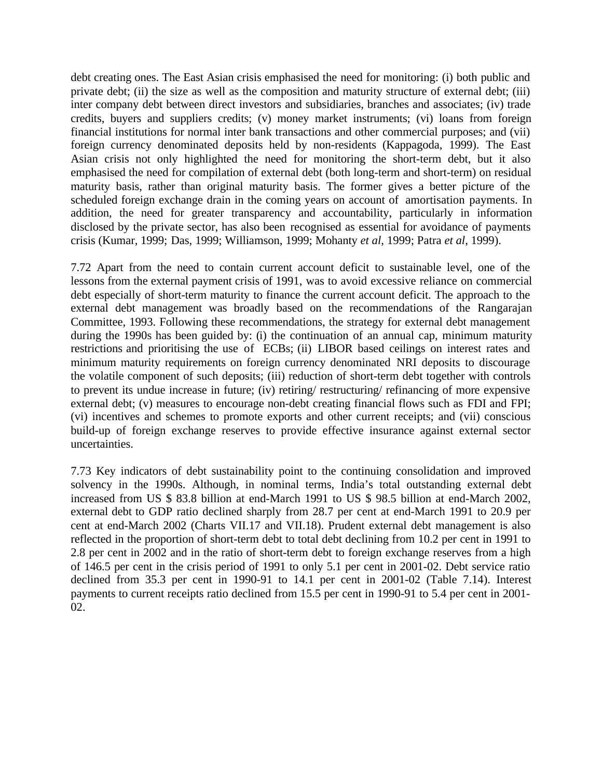debt creating ones. The East Asian crisis emphasised the need for monitoring: (i) both public and private debt; (ii) the size as well as the composition and maturity structure of external debt; (iii) inter company debt between direct investors and subsidiaries, branches and associates; (iv) trade credits, buyers and suppliers credits; (v) money market instruments; (vi) loans from foreign financial institutions for normal inter bank transactions and other commercial purposes; and (vii) foreign currency denominated deposits held by non-residents (Kappagoda, 1999). The East Asian crisis not only highlighted the need for monitoring the short-term debt, but it also emphasised the need for compilation of external debt (both long-term and short-term) on residual maturity basis, rather than original maturity basis. The former gives a better picture of the scheduled foreign exchange drain in the coming years on account of amortisation payments. In addition, the need for greater transparency and accountability, particularly in information disclosed by the private sector, has also been recognised as essential for avoidance of payments crisis (Kumar, 1999; Das, 1999; Williamson, 1999; Mohanty *et al*, 1999; Patra *et al*, 1999).

7.72 Apart from the need to contain current account deficit to sustainable level, one of the lessons from the external payment crisis of 1991, was to avoid excessive reliance on commercial debt especially of short-term maturity to finance the current account deficit. The approach to the external debt management was broadly based on the recommendations of the Rangarajan Committee, 1993. Following these recommendations, the strategy for external debt management during the 1990s has been guided by: (i) the continuation of an annual cap, minimum maturity restrictions and prioritising the use of ECBs; (ii) LIBOR based ceilings on interest rates and minimum maturity requirements on foreign currency denominated NRI deposits to discourage the volatile component of such deposits; (iii) reduction of short-term debt together with controls to prevent its undue increase in future; (iv) retiring/ restructuring/ refinancing of more expensive external debt; (v) measures to encourage non-debt creating financial flows such as FDI and FPI; (vi) incentives and schemes to promote exports and other current receipts; and (vii) conscious build-up of foreign exchange reserves to provide effective insurance against external sector uncertainties.

7.73 Key indicators of debt sustainability point to the continuing consolidation and improved solvency in the 1990s. Although, in nominal terms, India's total outstanding external debt increased from US \$ 83.8 billion at end-March 1991 to US \$ 98.5 billion at end-March 2002, external debt to GDP ratio declined sharply from 28.7 per cent at end-March 1991 to 20.9 per cent at end-March 2002 (Charts VII.17 and VII.18). Prudent external debt management is also reflected in the proportion of short-term debt to total debt declining from 10.2 per cent in 1991 to 2.8 per cent in 2002 and in the ratio of short-term debt to foreign exchange reserves from a high of 146.5 per cent in the crisis period of 1991 to only 5.1 per cent in 2001-02. Debt service ratio declined from 35.3 per cent in 1990-91 to 14.1 per cent in 2001-02 (Table 7.14). Interest payments to current receipts ratio declined from 15.5 per cent in 1990-91 to 5.4 per cent in 2001- 02.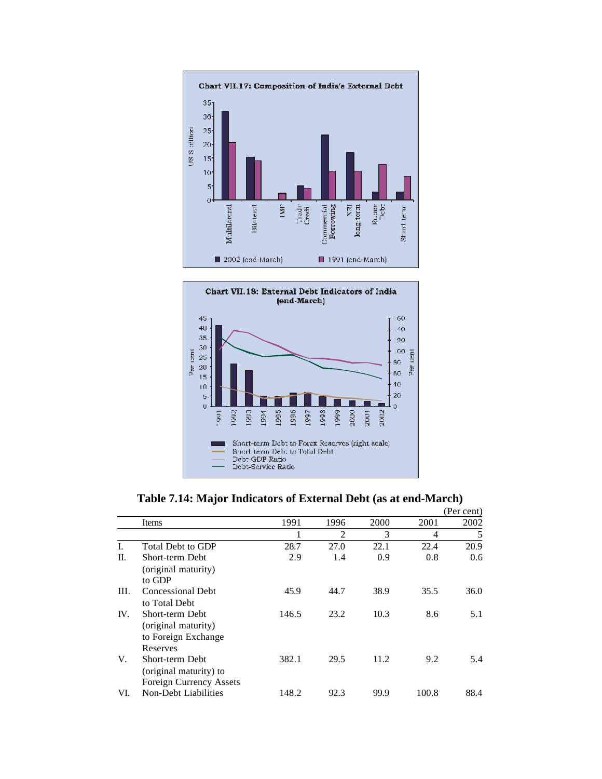



|      |                                                                           |       |                |      |       | (Per cent) |
|------|---------------------------------------------------------------------------|-------|----------------|------|-------|------------|
|      | Items                                                                     | 1991  | 1996           | 2000 | 2001  | 2002       |
|      |                                                                           |       | $\overline{c}$ | 3    | 4     | 5          |
| L.   | Total Debt to GDP                                                         | 28.7  | 27.0           | 22.1 | 22.4  | 20.9       |
| П.   | Short-term Debt<br>(original maturity)<br>to GDP                          | 2.9   | 1.4            | 0.9  | 0.8   | 0.6        |
| III. | <b>Concessional Debt</b><br>to Total Debt                                 | 45.9  | 44.7           | 38.9 | 35.5  | 36.0       |
| IV.  | Short-term Debt<br>(original maturity)<br>to Foreign Exchange<br>Reserves | 146.5 | 23.2           | 10.3 | 8.6   | 5.1        |
| V.   | Short-term Debt<br>(original maturity) to<br>Foreign Currency Assets      | 382.1 | 29.5           | 11.2 | 9.2   | 5.4        |
| VI.  | Non-Debt Liabilities                                                      | 148.2 | 92.3           | 99.9 | 100.8 | 88.4       |

**Table 7.14: Major Indicators of External Debt (as at end-March)**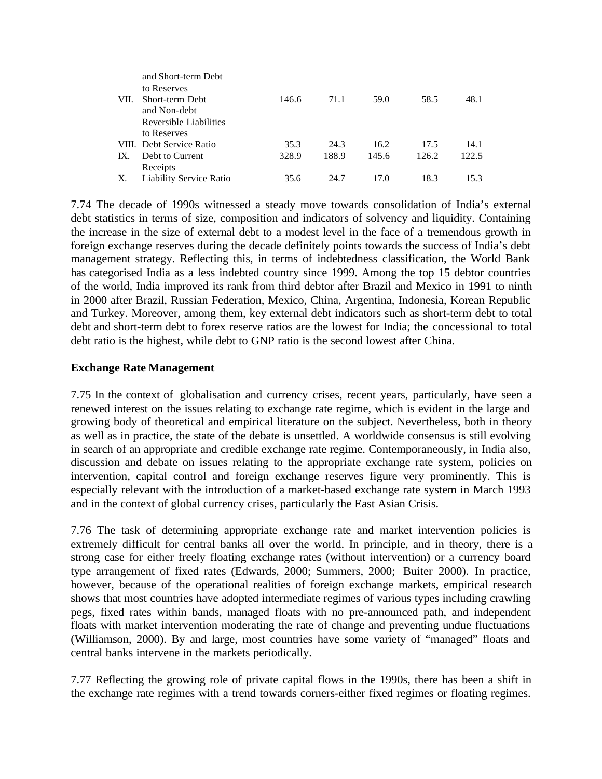|      | and Short-term Debt            |       |       |       |       |       |
|------|--------------------------------|-------|-------|-------|-------|-------|
|      | to Reserves                    |       |       |       |       |       |
| VII. | Short-term Debt                | 146.6 | 71.1  | 59.0  | 58.5  | 48.1  |
|      | and Non-debt                   |       |       |       |       |       |
|      | Reversible Liabilities         |       |       |       |       |       |
|      | to Reserves                    |       |       |       |       |       |
|      | VIII. Debt Service Ratio       | 35.3  | 24.3  | 16.2  | 17.5  | 14.1  |
| IX.  | Debt to Current                | 328.9 | 188.9 | 145.6 | 126.2 | 122.5 |
|      | Receipts                       |       |       |       |       |       |
| X.   | <b>Liability Service Ratio</b> | 35.6  | 24.7  | 17.0  | 18.3  | 15.3  |

7.74 The decade of 1990s witnessed a steady move towards consolidation of India's external debt statistics in terms of size, composition and indicators of solvency and liquidity. Containing the increase in the size of external debt to a modest level in the face of a tremendous growth in foreign exchange reserves during the decade definitely points towards the success of India's debt management strategy. Reflecting this, in terms of indebtedness classification, the World Bank has categorised India as a less indebted country since 1999. Among the top 15 debtor countries of the world, India improved its rank from third debtor after Brazil and Mexico in 1991 to ninth in 2000 after Brazil, Russian Federation, Mexico, China, Argentina, Indonesia, Korean Republic and Turkey. Moreover, among them, key external debt indicators such as short-term debt to total debt and short-term debt to forex reserve ratios are the lowest for India; the concessional to total debt ratio is the highest, while debt to GNP ratio is the second lowest after China.

## **Exchange Rate Management**

7.75 In the context of globalisation and currency crises, recent years, particularly, have seen a renewed interest on the issues relating to exchange rate regime, which is evident in the large and growing body of theoretical and empirical literature on the subject. Nevertheless, both in theory as well as in practice, the state of the debate is unsettled. A worldwide consensus is still evolving in search of an appropriate and credible exchange rate regime. Contemporaneously, in India also, discussion and debate on issues relating to the appropriate exchange rate system, policies on intervention, capital control and foreign exchange reserves figure very prominently. This is especially relevant with the introduction of a market-based exchange rate system in March 1993 and in the context of global currency crises, particularly the East Asian Crisis.

7.76 The task of determining appropriate exchange rate and market intervention policies is extremely difficult for central banks all over the world. In principle, and in theory, there is a strong case for either freely floating exchange rates (without intervention) or a currency board type arrangement of fixed rates (Edwards, 2000; Summers, 2000; Buiter 2000). In practice, however, because of the operational realities of foreign exchange markets, empirical research shows that most countries have adopted intermediate regimes of various types including crawling pegs, fixed rates within bands, managed floats with no pre-announced path, and independent floats with market intervention moderating the rate of change and preventing undue fluctuations (Williamson, 2000). By and large, most countries have some variety of "managed" floats and central banks intervene in the markets periodically.

7.77 Reflecting the growing role of private capital flows in the 1990s, there has been a shift in the exchange rate regimes with a trend towards corners-either fixed regimes or floating regimes.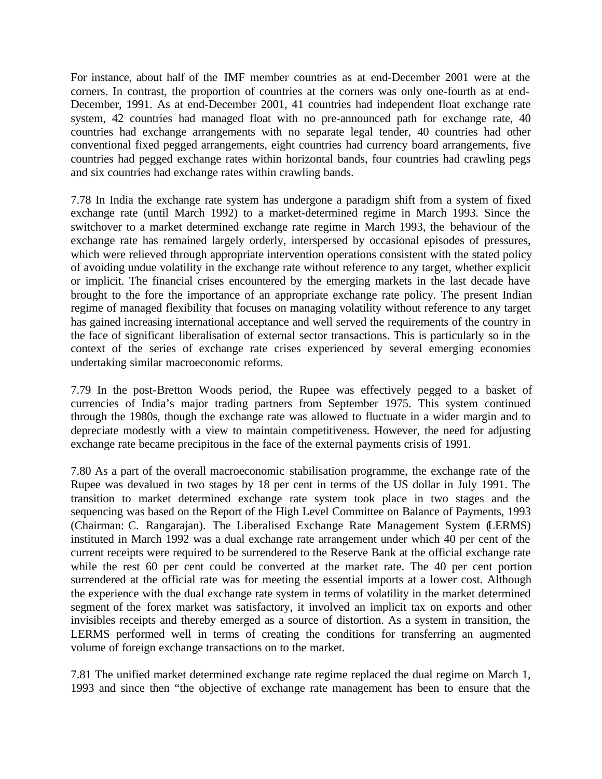For instance, about half of the IMF member countries as at end-December 2001 were at the corners. In contrast, the proportion of countries at the corners was only one-fourth as at end-December, 1991. As at end-December 2001, 41 countries had independent float exchange rate system, 42 countries had managed float with no pre-announced path for exchange rate, 40 countries had exchange arrangements with no separate legal tender, 40 countries had other conventional fixed pegged arrangements, eight countries had currency board arrangements, five countries had pegged exchange rates within horizontal bands, four countries had crawling pegs and six countries had exchange rates within crawling bands.

7.78 In India the exchange rate system has undergone a paradigm shift from a system of fixed exchange rate (until March 1992) to a market-determined regime in March 1993. Since the switchover to a market determined exchange rate regime in March 1993, the behaviour of the exchange rate has remained largely orderly, interspersed by occasional episodes of pressures, which were relieved through appropriate intervention operations consistent with the stated policy of avoiding undue volatility in the exchange rate without reference to any target, whether explicit or implicit. The financial crises encountered by the emerging markets in the last decade have brought to the fore the importance of an appropriate exchange rate policy. The present Indian regime of managed flexibility that focuses on managing volatility without reference to any target has gained increasing international acceptance and well served the requirements of the country in the face of significant liberalisation of external sector transactions. This is particularly so in the context of the series of exchange rate crises experienced by several emerging economies undertaking similar macroeconomic reforms.

7.79 In the post-Bretton Woods period, the Rupee was effectively pegged to a basket of currencies of India's major trading partners from September 1975. This system continued through the 1980s, though the exchange rate was allowed to fluctuate in a wider margin and to depreciate modestly with a view to maintain competitiveness. However, the need for adjusting exchange rate became precipitous in the face of the external payments crisis of 1991.

7.80 As a part of the overall macroeconomic stabilisation programme, the exchange rate of the Rupee was devalued in two stages by 18 per cent in terms of the US dollar in July 1991. The transition to market determined exchange rate system took place in two stages and the sequencing was based on the Report of the High Level Committee on Balance of Payments, 1993 (Chairman: C. Rangarajan). The Liberalised Exchange Rate Management System (LERMS) instituted in March 1992 was a dual exchange rate arrangement under which 40 per cent of the current receipts were required to be surrendered to the Reserve Bank at the official exchange rate while the rest 60 per cent could be converted at the market rate. The 40 per cent portion surrendered at the official rate was for meeting the essential imports at a lower cost. Although the experience with the dual exchange rate system in terms of volatility in the market determined segment of the forex market was satisfactory, it involved an implicit tax on exports and other invisibles receipts and thereby emerged as a source of distortion. As a system in transition, the LERMS performed well in terms of creating the conditions for transferring an augmented volume of foreign exchange transactions on to the market.

7.81 The unified market determined exchange rate regime replaced the dual regime on March 1, 1993 and since then "the objective of exchange rate management has been to ensure that the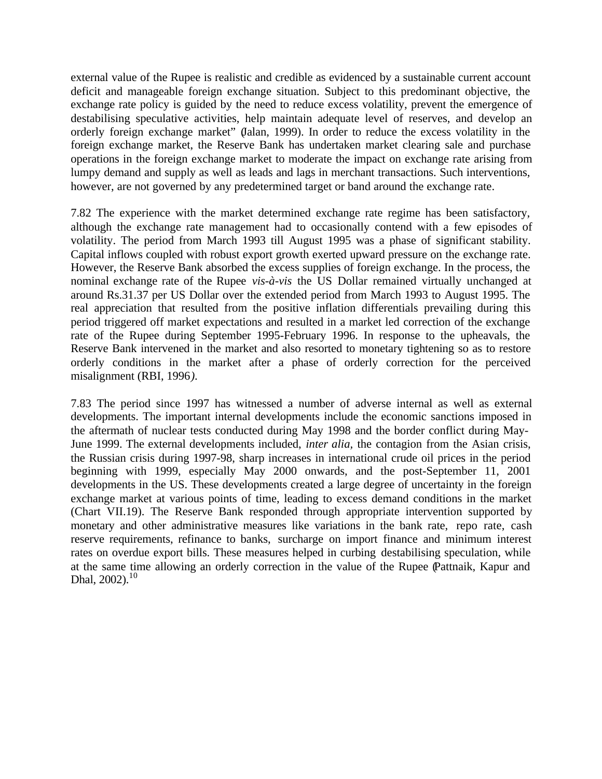external value of the Rupee is realistic and credible as evidenced by a sustainable current account deficit and manageable foreign exchange situation. Subject to this predominant objective, the exchange rate policy is guided by the need to reduce excess volatility, prevent the emergence of destabilising speculative activities, help maintain adequate level of reserves, and develop an orderly foreign exchange market" (Jalan, 1999). In order to reduce the excess volatility in the foreign exchange market, the Reserve Bank has undertaken market clearing sale and purchase operations in the foreign exchange market to moderate the impact on exchange rate arising from lumpy demand and supply as well as leads and lags in merchant transactions. Such interventions, however, are not governed by any predetermined target or band around the exchange rate.

7.82 The experience with the market determined exchange rate regime has been satisfactory, although the exchange rate management had to occasionally contend with a few episodes of volatility. The period from March 1993 till August 1995 was a phase of significant stability. Capital inflows coupled with robust export growth exerted upward pressure on the exchange rate. However, the Reserve Bank absorbed the excess supplies of foreign exchange. In the process, the nominal exchange rate of the Rupee *vis-à-vis* the US Dollar remained virtually unchanged at around Rs.31.37 per US Dollar over the extended period from March 1993 to August 1995. The real appreciation that resulted from the positive inflation differentials prevailing during this period triggered off market expectations and resulted in a market led correction of the exchange rate of the Rupee during September 1995-February 1996. In response to the upheavals, the Reserve Bank intervened in the market and also resorted to monetary tightening so as to restore orderly conditions in the market after a phase of orderly correction for the perceived misalignment (RBI, 1996*)*.

7.83 The period since 1997 has witnessed a number of adverse internal as well as external developments. The important internal developments include the economic sanctions imposed in the aftermath of nuclear tests conducted during May 1998 and the border conflict during May-June 1999. The external developments included, *inter alia,* the contagion from the Asian crisis, the Russian crisis during 1997-98, sharp increases in international crude oil prices in the period beginning with 1999, especially May 2000 onwards, and the post-September 11, 2001 developments in the US. These developments created a large degree of uncertainty in the foreign exchange market at various points of time, leading to excess demand conditions in the market (Chart VII.19). The Reserve Bank responded through appropriate intervention supported by monetary and other administrative measures like variations in the bank rate, repo rate, cash reserve requirements, refinance to banks, surcharge on import finance and minimum interest rates on overdue export bills. These measures helped in curbing destabilising speculation, while at the same time allowing an orderly correction in the value of the Rupee (Pattnaik, Kapur and Dhal, 2002).<sup>10</sup>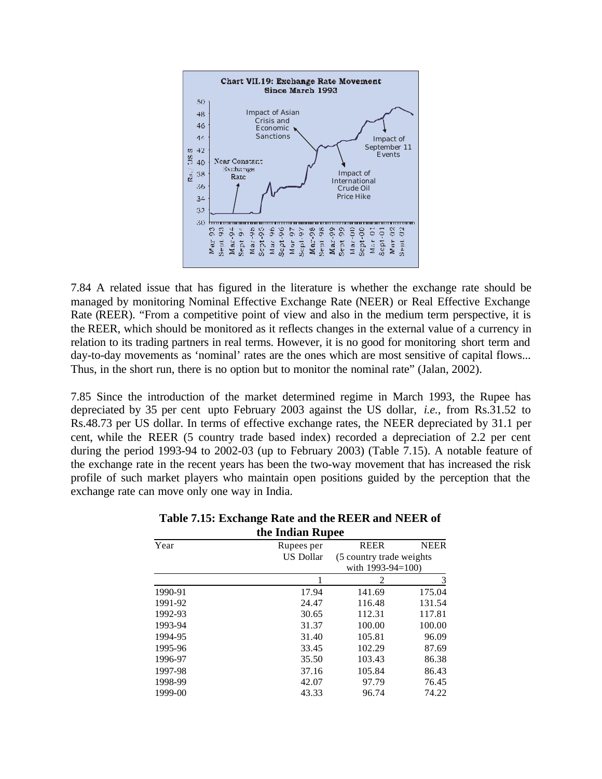

7.84 A related issue that has figured in the literature is whether the exchange rate should be managed by monitoring Nominal Effective Exchange Rate (NEER) or Real Effective Exchange Rate (REER). "From a competitive point of view and also in the medium term perspective, it is the REER, which should be monitored as it reflects changes in the external value of a currency in relation to its trading partners in real terms. However, it is no good for monitoring short term and day-to-day movements as 'nominal' rates are the ones which are most sensitive of capital flows... Thus, in the short run, there is no option but to monitor the nominal rate" (Jalan, 2002).

7.85 Since the introduction of the market determined regime in March 1993, the Rupee has depreciated by 35 per cent upto February 2003 against the US dollar, *i.e.*, from Rs.31.52 to Rs.48.73 per US dollar. In terms of effective exchange rates, the NEER depreciated by 31.1 per cent, while the REER (5 country trade based index) recorded a depreciation of 2.2 per cent during the period 1993-94 to 2002-03 (up to February 2003) (Table 7.15). A notable feature of the exchange rate in the recent years has been the two-way movement that has increased the risk profile of such market players who maintain open positions guided by the perception that the exchange rate can move only one way in India.

| the Indian Rupee |                  |                           |             |  |  |  |  |  |  |
|------------------|------------------|---------------------------|-------------|--|--|--|--|--|--|
| Year             | Rupees per       | <b>REER</b>               | <b>NEER</b> |  |  |  |  |  |  |
|                  | <b>US Dollar</b> | (5 country trade weights) |             |  |  |  |  |  |  |
|                  |                  | with 1993-94=100)         |             |  |  |  |  |  |  |
|                  |                  | 2                         | 3           |  |  |  |  |  |  |
| 1990-91          | 17.94            | 141.69                    | 175.04      |  |  |  |  |  |  |
| 1991-92          | 24.47            | 116.48                    | 131.54      |  |  |  |  |  |  |
| 1992-93          | 30.65            | 112.31                    | 117.81      |  |  |  |  |  |  |
| 1993-94          | 31.37            | 100.00                    | 100.00      |  |  |  |  |  |  |
| 1994-95          | 31.40            | 105.81                    | 96.09       |  |  |  |  |  |  |
| 1995-96          | 33.45            | 102.29                    | 87.69       |  |  |  |  |  |  |
| 1996-97          | 35.50            | 103.43                    | 86.38       |  |  |  |  |  |  |
| 1997-98          | 37.16            | 105.84                    | 86.43       |  |  |  |  |  |  |
| 1998-99          | 42.07            | 97.79                     | 76.45       |  |  |  |  |  |  |
| 1999-00          | 43.33            | 96.74                     | 74.22       |  |  |  |  |  |  |
|                  |                  |                           |             |  |  |  |  |  |  |

| Table 7.15: Exchange Rate and the REER and NEER of |  |
|----------------------------------------------------|--|
| the Indian Rupee                                   |  |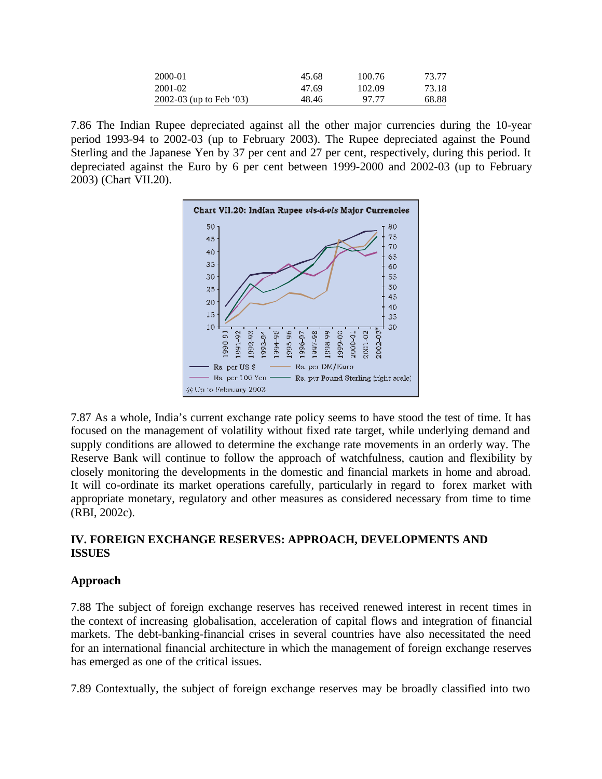| 2000-01                 | 45.68 | 100.76 | 73.77 |
|-------------------------|-------|--------|-------|
| 2001-02                 | 47.69 | 102.09 | 73.18 |
| 2002-03 (up to Feb '03) | 48.46 | 97.77  | 68.88 |

7.86 The Indian Rupee depreciated against all the other major currencies during the 10-year period 1993-94 to 2002-03 (up to February 2003). The Rupee depreciated against the Pound Sterling and the Japanese Yen by 37 per cent and 27 per cent, respectively, during this period. It depreciated against the Euro by 6 per cent between 1999-2000 and 2002-03 (up to February 2003) (Chart VII.20).



7.87 As a whole, India's current exchange rate policy seems to have stood the test of time. It has focused on the management of volatility without fixed rate target, while underlying demand and supply conditions are allowed to determine the exchange rate movements in an orderly way. The Reserve Bank will continue to follow the approach of watchfulness, caution and flexibility by closely monitoring the developments in the domestic and financial markets in home and abroad. It will co-ordinate its market operations carefully, particularly in regard to forex market with appropriate monetary, regulatory and other measures as considered necessary from time to time (RBI, 2002c).

## **IV. FOREIGN EXCHANGE RESERVES: APPROACH, DEVELOPMENTS AND ISSUES**

## **Approach**

7.88 The subject of foreign exchange reserves has received renewed interest in recent times in the context of increasing globalisation, acceleration of capital flows and integration of financial markets. The debt-banking-financial crises in several countries have also necessitated the need for an international financial architecture in which the management of foreign exchange reserves has emerged as one of the critical issues.

7.89 Contextually, the subject of foreign exchange reserves may be broadly classified into two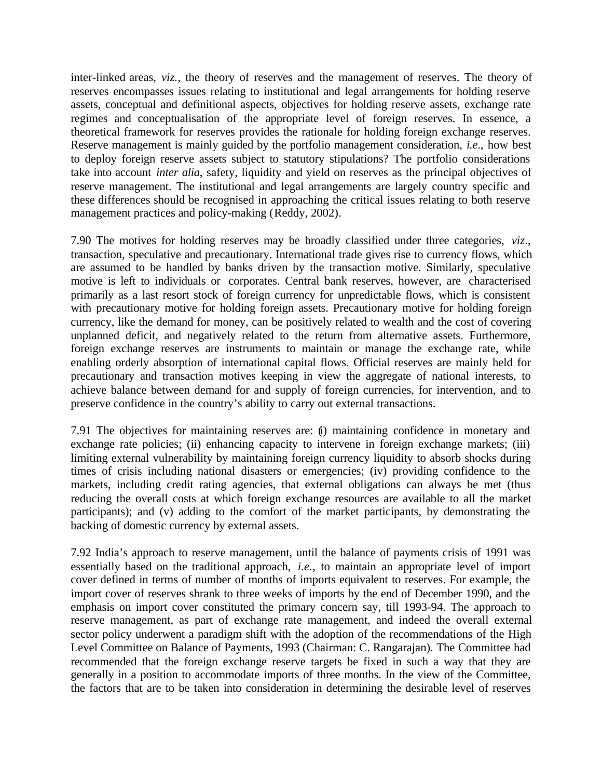inter-linked areas, *viz.,* the theory of reserves and the management of reserves. The theory of reserves encompasses issues relating to institutional and legal arrangements for holding reserve assets, conceptual and definitional aspects, objectives for holding reserve assets, exchange rate regimes and conceptualisation of the appropriate level of foreign reserves. In essence, a theoretical framework for reserves provides the rationale for holding foreign exchange reserves. Reserve management is mainly guided by the portfolio management consideration, *i.e*., how best to deploy foreign reserve assets subject to statutory stipulations? The portfolio considerations take into account *inter alia*, safety, liquidity and yield on reserves as the principal objectives of reserve management. The institutional and legal arrangements are largely country specific and these differences should be recognised in approaching the critical issues relating to both reserve management practices and policy-making (Reddy, 2002).

7.90 The motives for holding reserves may be broadly classified under three categories, *viz*., transaction, speculative and precautionary. International trade gives rise to currency flows, which are assumed to be handled by banks driven by the transaction motive. Similarly, speculative motive is left to individuals or corporates. Central bank reserves, however, are characterised primarily as a last resort stock of foreign currency for unpredictable flows, which is consistent with precautionary motive for holding foreign assets. Precautionary motive for holding foreign currency, like the demand for money, can be positively related to wealth and the cost of covering unplanned deficit, and negatively related to the return from alternative assets. Furthermore, foreign exchange reserves are instruments to maintain or manage the exchange rate, while enabling orderly absorption of international capital flows. Official reserves are mainly held for precautionary and transaction motives keeping in view the aggregate of national interests, to achieve balance between demand for and supply of foreign currencies, for intervention, and to preserve confidence in the country's ability to carry out external transactions.

7.91 The objectives for maintaining reserves are: (i) maintaining confidence in monetary and exchange rate policies; (ii) enhancing capacity to intervene in foreign exchange markets; (iii) limiting external vulnerability by maintaining foreign currency liquidity to absorb shocks during times of crisis including national disasters or emergencies; (iv) providing confidence to the markets, including credit rating agencies, that external obligations can always be met (thus reducing the overall costs at which foreign exchange resources are available to all the market participants); and (v) adding to the comfort of the market participants, by demonstrating the backing of domestic currency by external assets.

7.92 India's approach to reserve management, until the balance of payments crisis of 1991 was essentially based on the traditional approach, *i.e.*, to maintain an appropriate level of import cover defined in terms of number of months of imports equivalent to reserves. For example, the import cover of reserves shrank to three weeks of imports by the end of December 1990, and the emphasis on import cover constituted the primary concern say, till 1993-94. The approach to reserve management, as part of exchange rate management, and indeed the overall external sector policy underwent a paradigm shift with the adoption of the recommendations of the High Level Committee on Balance of Payments, 1993 (Chairman: C. Rangarajan). The Committee had recommended that the foreign exchange reserve targets be fixed in such a way that they are generally in a position to accommodate imports of three months. In the view of the Committee, the factors that are to be taken into consideration in determining the desirable level of reserves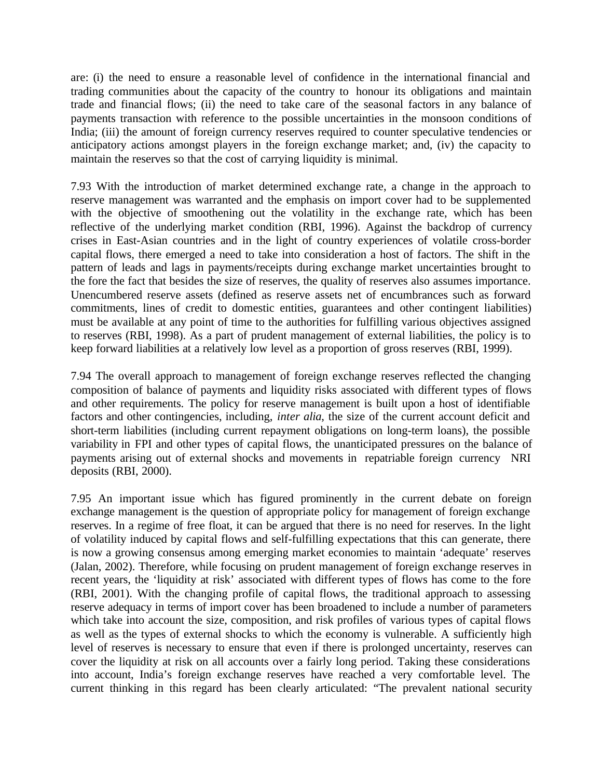are: (i) the need to ensure a reasonable level of confidence in the international financial and trading communities about the capacity of the country to honour its obligations and maintain trade and financial flows; (ii) the need to take care of the seasonal factors in any balance of payments transaction with reference to the possible uncertainties in the monsoon conditions of India; (iii) the amount of foreign currency reserves required to counter speculative tendencies or anticipatory actions amongst players in the foreign exchange market; and, (iv) the capacity to maintain the reserves so that the cost of carrying liquidity is minimal.

7.93 With the introduction of market determined exchange rate, a change in the approach to reserve management was warranted and the emphasis on import cover had to be supplemented with the objective of smoothening out the volatility in the exchange rate, which has been reflective of the underlying market condition (RBI, 1996). Against the backdrop of currency crises in East-Asian countries and in the light of country experiences of volatile cross-border capital flows, there emerged a need to take into consideration a host of factors. The shift in the pattern of leads and lags in payments/receipts during exchange market uncertainties brought to the fore the fact that besides the size of reserves, the quality of reserves also assumes importance. Unencumbered reserve assets (defined as reserve assets net of encumbrances such as forward commitments, lines of credit to domestic entities, guarantees and other contingent liabilities) must be available at any point of time to the authorities for fulfilling various objectives assigned to reserves (RBI, 1998). As a part of prudent management of external liabilities, the policy is to keep forward liabilities at a relatively low level as a proportion of gross reserves (RBI, 1999).

7.94 The overall approach to management of foreign exchange reserves reflected the changing composition of balance of payments and liquidity risks associated with different types of flows and other requirements. The policy for reserve management is built upon a host of identifiable factors and other contingencies, including, *inter alia*, the size of the current account deficit and short-term liabilities (including current repayment obligations on long-term loans), the possible variability in FPI and other types of capital flows, the unanticipated pressures on the balance of payments arising out of external shocks and movements in repatriable foreign currency NRI deposits (RBI, 2000).

7.95 An important issue which has figured prominently in the current debate on foreign exchange management is the question of appropriate policy for management of foreign exchange reserves. In a regime of free float, it can be argued that there is no need for reserves. In the light of volatility induced by capital flows and self-fulfilling expectations that this can generate, there is now a growing consensus among emerging market economies to maintain 'adequate' reserves (Jalan, 2002). Therefore, while focusing on prudent management of foreign exchange reserves in recent years, the 'liquidity at risk' associated with different types of flows has come to the fore (RBI, 2001). With the changing profile of capital flows, the traditional approach to assessing reserve adequacy in terms of import cover has been broadened to include a number of parameters which take into account the size, composition, and risk profiles of various types of capital flows as well as the types of external shocks to which the economy is vulnerable. A sufficiently high level of reserves is necessary to ensure that even if there is prolonged uncertainty, reserves can cover the liquidity at risk on all accounts over a fairly long period. Taking these considerations into account, India's foreign exchange reserves have reached a very comfortable level. The current thinking in this regard has been clearly articulated: "The prevalent national security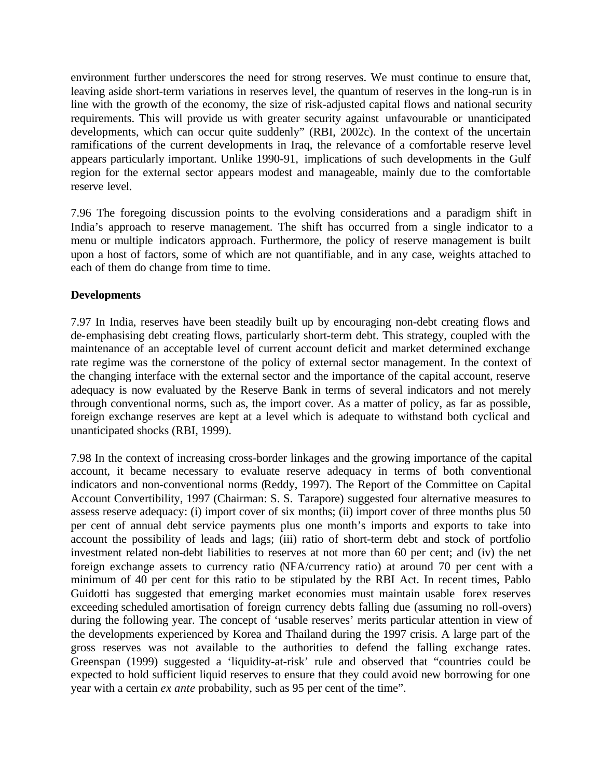environment further underscores the need for strong reserves. We must continue to ensure that, leaving aside short-term variations in reserves level, the quantum of reserves in the long-run is in line with the growth of the economy, the size of risk-adjusted capital flows and national security requirements. This will provide us with greater security against unfavourable or unanticipated developments, which can occur quite suddenly" (RBI, 2002c). In the context of the uncertain ramifications of the current developments in Iraq, the relevance of a comfortable reserve level appears particularly important. Unlike 1990-91, implications of such developments in the Gulf region for the external sector appears modest and manageable, mainly due to the comfortable reserve level.

7.96 The foregoing discussion points to the evolving considerations and a paradigm shift in India's approach to reserve management. The shift has occurred from a single indicator to a menu or multiple indicators approach. Furthermore, the policy of reserve management is built upon a host of factors, some of which are not quantifiable, and in any case, weights attached to each of them do change from time to time.

# **Developments**

7.97 In India, reserves have been steadily built up by encouraging non-debt creating flows and de-emphasising debt creating flows, particularly short-term debt. This strategy, coupled with the maintenance of an acceptable level of current account deficit and market determined exchange rate regime was the cornerstone of the policy of external sector management. In the context of the changing interface with the external sector and the importance of the capital account, reserve adequacy is now evaluated by the Reserve Bank in terms of several indicators and not merely through conventional norms, such as, the import cover. As a matter of policy, as far as possible, foreign exchange reserves are kept at a level which is adequate to withstand both cyclical and unanticipated shocks (RBI, 1999).

7.98 In the context of increasing cross-border linkages and the growing importance of the capital account, it became necessary to evaluate reserve adequacy in terms of both conventional indicators and non-conventional norms (Reddy, 1997). The Report of the Committee on Capital Account Convertibility, 1997 (Chairman: S. S. Tarapore) suggested four alternative measures to assess reserve adequacy: (i) import cover of six months; (ii) import cover of three months plus 50 per cent of annual debt service payments plus one month's imports and exports to take into account the possibility of leads and lags; (iii) ratio of short-term debt and stock of portfolio investment related non-debt liabilities to reserves at not more than 60 per cent; and (iv) the net foreign exchange assets to currency ratio (NFA/currency ratio) at around 70 per cent with a minimum of 40 per cent for this ratio to be stipulated by the RBI Act. In recent times, Pablo Guidotti has suggested that emerging market economies must maintain usable forex reserves exceeding scheduled amortisation of foreign currency debts falling due (assuming no roll-overs) during the following year. The concept of 'usable reserves' merits particular attention in view of the developments experienced by Korea and Thailand during the 1997 crisis. A large part of the gross reserves was not available to the authorities to defend the falling exchange rates. Greenspan (1999) suggested a 'liquidity-at-risk' rule and observed that "countries could be expected to hold sufficient liquid reserves to ensure that they could avoid new borrowing for one year with a certain *ex ante* probability, such as 95 per cent of the time".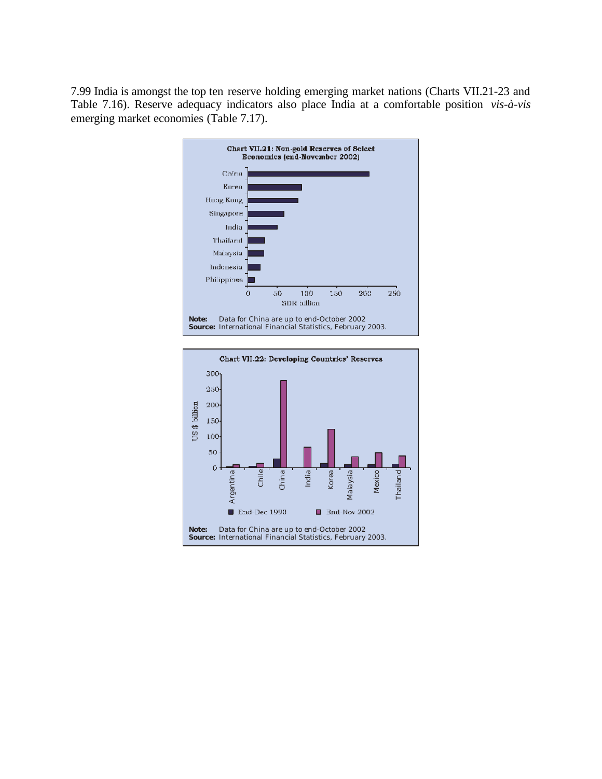7.99 India is amongst the top ten reserve holding emerging market nations (Charts VII.21-23 and Table 7.16). Reserve adequacy indicators also place India at a comfortable position *vis-à-vis* emerging market economies (Table 7.17).



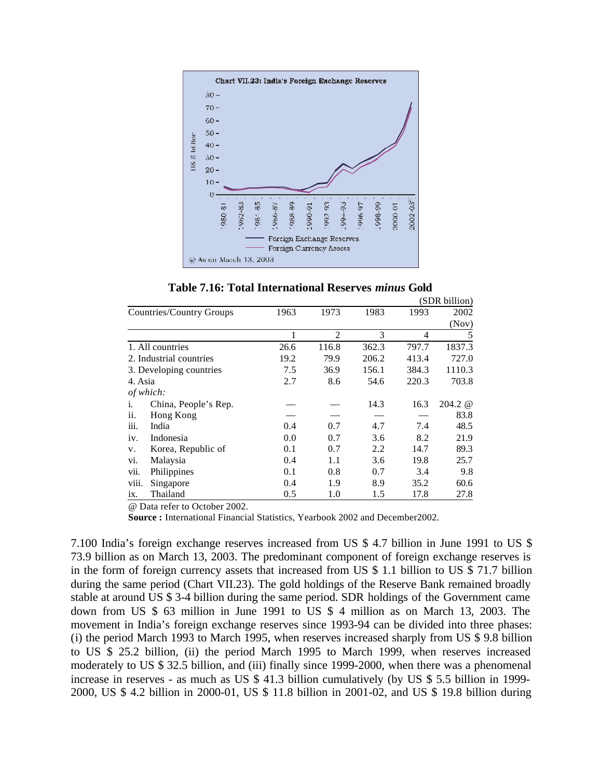

**Table 7.16: Total International Reserves** *minus* **Gold**

|                |                          |      |                |       |       | (SDR billion)              |
|----------------|--------------------------|------|----------------|-------|-------|----------------------------|
|                | Countries/Country Groups | 1963 | 1973           | 1983  | 1993  | 2002                       |
|                |                          |      |                |       |       | (Nov)                      |
|                |                          | 1    | $\overline{2}$ | 3     | 4     | 5                          |
|                | 1. All countries         | 26.6 | 116.8          | 362.3 | 797.7 | 1837.3                     |
|                | 2. Industrial countries  | 19.2 | 79.9           | 206.2 | 413.4 | 727.0                      |
|                | 3. Developing countries  | 7.5  | 36.9           | 156.1 | 384.3 | 1110.3                     |
| 4. Asia        |                          | 2.7  | 8.6            | 54.6  | 220.3 | 703.8                      |
|                | of which:                |      |                |       |       |                            |
| $\mathbf{1}$ . | China, People's Rep.     |      |                | 14.3  | 16.3  | $204.2 \; \textcircled{a}$ |
| ii.            | Hong Kong                |      |                |       |       | 83.8                       |
| iii.           | India                    | 0.4  | 0.7            | 4.7   | 7.4   | 48.5                       |
| iv.            | Indonesia                | 0.0  | 0.7            | 3.6   | 8.2   | 21.9                       |
| V.             | Korea, Republic of       | 0.1  | 0.7            | 2.2   | 14.7  | 89.3                       |
| vi.            | Malaysia                 | 0.4  | 1.1            | 3.6   | 19.8  | 25.7                       |
| vii.           | Philippines              | 0.1  | 0.8            | 0.7   | 3.4   | 9.8                        |
| viii.          | Singapore                | 0.4  | 1.9            | 8.9   | 35.2  | 60.6                       |
| ix.            | Thailand                 | 0.5  | 1.0            | 1.5   | 17.8  | 27.8                       |

@ Data refer to October 2002.

**Source :** International Financial Statistics, Yearbook 2002 and December2002.

7.100 India's foreign exchange reserves increased from US \$ 4.7 billion in June 1991 to US \$ 73.9 billion as on March 13, 2003. The predominant component of foreign exchange reserves is in the form of foreign currency assets that increased from US \$ 1.1 billion to US \$ 71.7 billion during the same period (Chart VII.23). The gold holdings of the Reserve Bank remained broadly stable at around US \$ 3-4 billion during the same period. SDR holdings of the Government came down from US \$ 63 million in June 1991 to US \$ 4 million as on March 13, 2003. The movement in India's foreign exchange reserves since 1993-94 can be divided into three phases: (i) the period March 1993 to March 1995, when reserves increased sharply from US \$ 9.8 billion to US \$ 25.2 billion, (ii) the period March 1995 to March 1999, when reserves increased moderately to US \$ 32.5 billion, and (iii) finally since 1999-2000, when there was a phenomenal increase in reserves - as much as US \$ 41.3 billion cumulatively (by US \$ 5.5 billion in 1999- 2000, US \$ 4.2 billion in 2000-01, US \$ 11.8 billion in 2001-02, and US \$ 19.8 billion during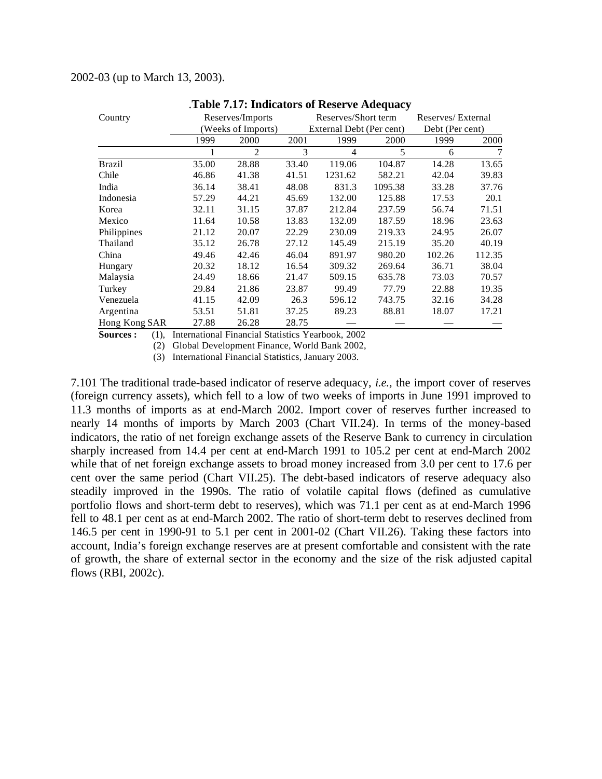#### 2002-03 (up to March 13, 2003).

| Country       |       | Reserves/Imports   |       | Reserves/Short term      | Reserves/External |                 |        |
|---------------|-------|--------------------|-------|--------------------------|-------------------|-----------------|--------|
|               |       | (Weeks of Imports) |       | External Debt (Per cent) |                   | Debt (Per cent) |        |
|               | 1999  | 2000               | 2001  | 1999                     | 2000              | 1999            | 2000   |
|               |       | $\overline{c}$     | 3     | 4                        | 5                 | 6               | 7      |
| <b>Brazil</b> | 35.00 | 28.88              | 33.40 | 119.06                   | 104.87            | 14.28           | 13.65  |
| Chile         | 46.86 | 41.38              | 41.51 | 1231.62                  | 582.21            | 42.04           | 39.83  |
| India         | 36.14 | 38.41              | 48.08 | 831.3                    | 1095.38           | 33.28           | 37.76  |
| Indonesia     | 57.29 | 44.21              | 45.69 | 132.00                   | 125.88            | 17.53           | 20.1   |
| Korea         | 32.11 | 31.15              | 37.87 | 212.84                   | 237.59            | 56.74           | 71.51  |
| Mexico        | 11.64 | 10.58              | 13.83 | 132.09                   | 187.59            | 18.96           | 23.63  |
| Philippines   | 21.12 | 20.07              | 22.29 | 230.09                   | 219.33            | 24.95           | 26.07  |
| Thailand      | 35.12 | 26.78              | 27.12 | 145.49                   | 215.19            | 35.20           | 40.19  |
| China         | 49.46 | 42.46              | 46.04 | 891.97                   | 980.20            | 102.26          | 112.35 |
| Hungary       | 20.32 | 18.12              | 16.54 | 309.32                   | 269.64            | 36.71           | 38.04  |
| Malaysia      | 24.49 | 18.66              | 21.47 | 509.15                   | 635.78            | 73.03           | 70.57  |
| Turkey        | 29.84 | 21.86              | 23.87 | 99.49                    | 77.79             | 22.88           | 19.35  |
| Venezuela     | 41.15 | 42.09              | 26.3  | 596.12                   | 743.75            | 32.16           | 34.28  |
| Argentina     | 53.51 | 51.81              | 37.25 | 89.23                    | 88.81             | 18.07           | 17.21  |
| Hong Kong SAR | 27.88 | 26.28              | 28.75 |                          |                   |                 |        |

#### .**Table 7.17: Indicators of Reserve Adequacy**

**Sources :** (1), International Financial Statistics Yearbook, 2002

(2) Global Development Finance, World Bank 2002,

(3) International Financial Statistics, January 2003.

7.101 The traditional trade-based indicator of reserve adequacy, *i.e.,* the import cover of reserves (foreign currency assets), which fell to a low of two weeks of imports in June 1991 improved to 11.3 months of imports as at end-March 2002. Import cover of reserves further increased to nearly 14 months of imports by March 2003 (Chart VII.24). In terms of the money-based indicators, the ratio of net foreign exchange assets of the Reserve Bank to currency in circulation sharply increased from 14.4 per cent at end-March 1991 to 105.2 per cent at end-March 2002 while that of net foreign exchange assets to broad money increased from 3.0 per cent to 17.6 per cent over the same period (Chart VII.25). The debt-based indicators of reserve adequacy also steadily improved in the 1990s. The ratio of volatile capital flows (defined as cumulative portfolio flows and short-term debt to reserves), which was 71.1 per cent as at end-March 1996 fell to 48.1 per cent as at end-March 2002. The ratio of short-term debt to reserves declined from 146.5 per cent in 1990-91 to 5.1 per cent in 2001-02 (Chart VII.26). Taking these factors into account, India's foreign exchange reserves are at present comfortable and consistent with the rate of growth, the share of external sector in the economy and the size of the risk adjusted capital flows (RBI, 2002c).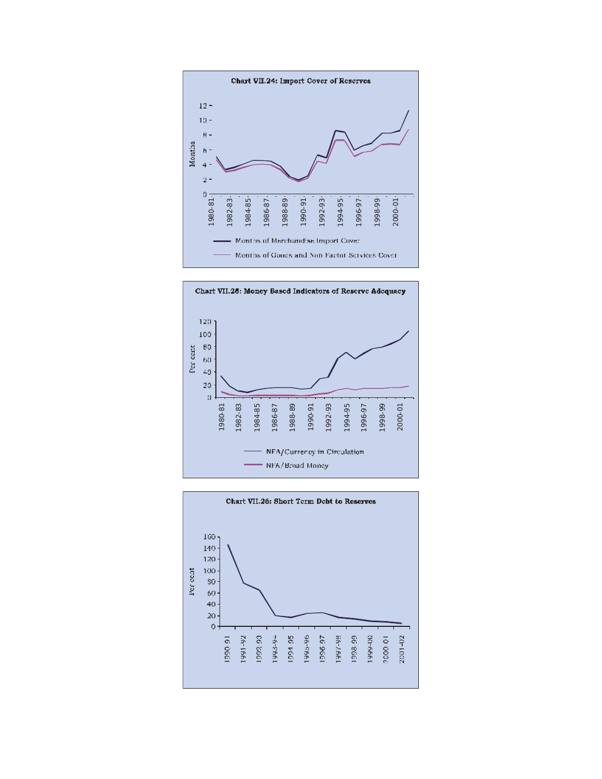![](_page_24_Figure_0.jpeg)

![](_page_24_Figure_1.jpeg)

![](_page_24_Figure_2.jpeg)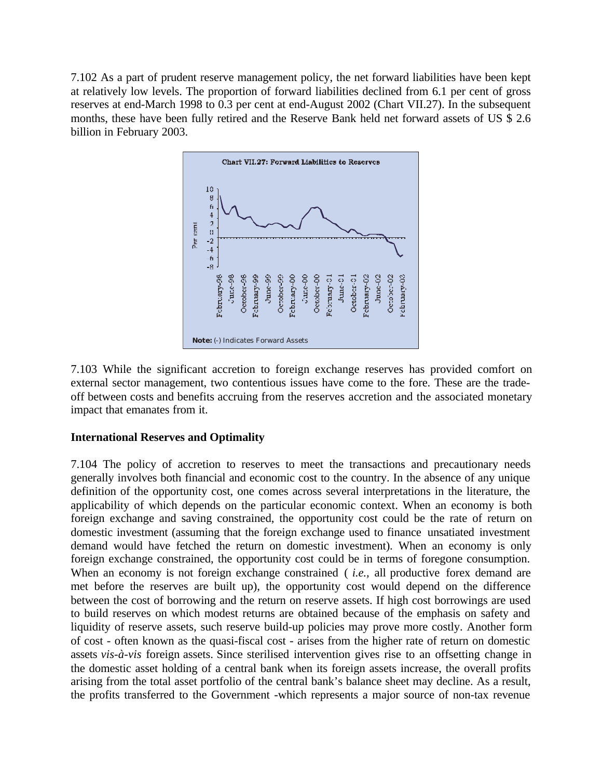7.102 As a part of prudent reserve management policy, the net forward liabilities have been kept at relatively low levels. The proportion of forward liabilities declined from 6.1 per cent of gross reserves at end-March 1998 to 0.3 per cent at end-August 2002 (Chart VII.27). In the subsequent months, these have been fully retired and the Reserve Bank held net forward assets of US \$ 2.6 billion in February 2003.

![](_page_25_Figure_1.jpeg)

7.103 While the significant accretion to foreign exchange reserves has provided comfort on external sector management, two contentious issues have come to the fore. These are the tradeoff between costs and benefits accruing from the reserves accretion and the associated monetary impact that emanates from it.

## **International Reserves and Optimality**

7.104 The policy of accretion to reserves to meet the transactions and precautionary needs generally involves both financial and economic cost to the country. In the absence of any unique definition of the opportunity cost, one comes across several interpretations in the literature, the applicability of which depends on the particular economic context. When an economy is both foreign exchange and saving constrained, the opportunity cost could be the rate of return on domestic investment (assuming that the foreign exchange used to finance unsatiated investment demand would have fetched the return on domestic investment). When an economy is only foreign exchange constrained, the opportunity cost could be in terms of foregone consumption. When an economy is not foreign exchange constrained (*i.e.*, all productive forex demand are met before the reserves are built up), the opportunity cost would depend on the difference between the cost of borrowing and the return on reserve assets. If high cost borrowings are used to build reserves on which modest returns are obtained because of the emphasis on safety and liquidity of reserve assets, such reserve build-up policies may prove more costly. Another form of cost - often known as the quasi-fiscal cost - arises from the higher rate of return on domestic assets *vis-à-vis* foreign assets. Since sterilised intervention gives rise to an offsetting change in the domestic asset holding of a central bank when its foreign assets increase, the overall profits arising from the total asset portfolio of the central bank's balance sheet may decline. As a result, the profits transferred to the Government -which represents a major source of non-tax revenue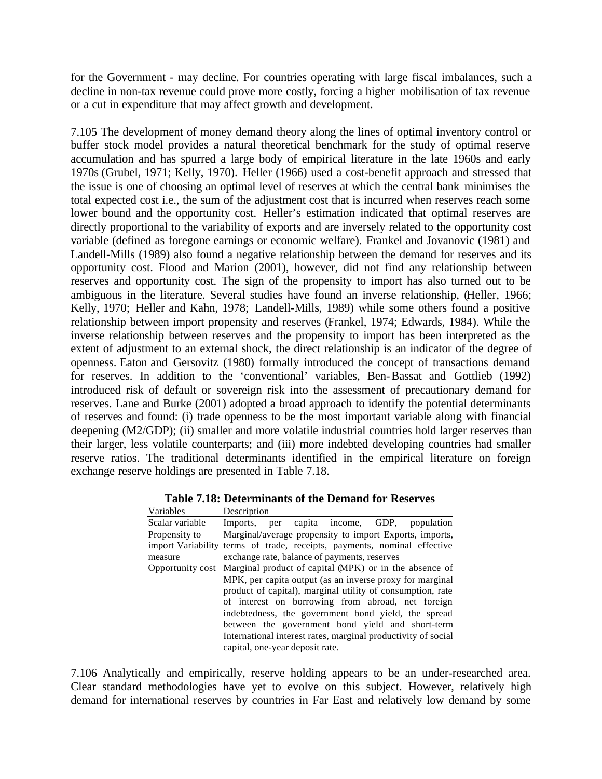for the Government - may decline. For countries operating with large fiscal imbalances, such a decline in non-tax revenue could prove more costly, forcing a higher mobilisation of tax revenue or a cut in expenditure that may affect growth and development.

7.105 The development of money demand theory along the lines of optimal inventory control or buffer stock model provides a natural theoretical benchmark for the study of optimal reserve accumulation and has spurred a large body of empirical literature in the late 1960s and early 1970s (Grubel, 1971; Kelly, 1970). Heller (1966) used a cost-benefit approach and stressed that the issue is one of choosing an optimal level of reserves at which the central bank minimises the total expected cost i.e., the sum of the adjustment cost that is incurred when reserves reach some lower bound and the opportunity cost. Heller's estimation indicated that optimal reserves are directly proportional to the variability of exports and are inversely related to the opportunity cost variable (defined as foregone earnings or economic welfare). Frankel and Jovanovic (1981) and Landell-Mills (1989) also found a negative relationship between the demand for reserves and its opportunity cost. Flood and Marion (2001), however, did not find any relationship between reserves and opportunity cost. The sign of the propensity to import has also turned out to be ambiguous in the literature. Several studies have found an inverse relationship, (Heller, 1966; Kelly, 1970; Heller and Kahn, 1978; Landell-Mills, 1989) while some others found a positive relationship between import propensity and reserves (Frankel, 1974; Edwards, 1984). While the inverse relationship between reserves and the propensity to import has been interpreted as the extent of adjustment to an external shock, the direct relationship is an indicator of the degree of openness. Eaton and Gersovitz (1980) formally introduced the concept of transactions demand for reserves. In addition to the 'conventional' variables, Ben-Bassat and Gottlieb (1992) introduced risk of default or sovereign risk into the assessment of precautionary demand for reserves. Lane and Burke (2001) adopted a broad approach to identify the potential determinants of reserves and found: (i) trade openness to be the most important variable along with financial deepening (M2/GDP); (ii) smaller and more volatile industrial countries hold larger reserves than their larger, less volatile counterparts; and (iii) more indebted developing countries had smaller reserve ratios. The traditional determinants identified in the empirical literature on foreign exchange reserve holdings are presented in Table 7.18.

| Variables                                           | Description                                                              |     |  |                     |  |                                                                                                                 |  |  |
|-----------------------------------------------------|--------------------------------------------------------------------------|-----|--|---------------------|--|-----------------------------------------------------------------------------------------------------------------|--|--|
| Scalar variable                                     | Imports.                                                                 | per |  | capita income, GDP, |  | population                                                                                                      |  |  |
| Propensity to                                       | Marginal/average propensity to import Exports, imports,                  |     |  |                     |  |                                                                                                                 |  |  |
|                                                     | import Variability terms of trade, receipts, payments, nominal effective |     |  |                     |  |                                                                                                                 |  |  |
| measure                                             | exchange rate, balance of payments, reserves                             |     |  |                     |  |                                                                                                                 |  |  |
|                                                     | Opportunity cost Marginal product of capital (MPK) or in the absence of  |     |  |                     |  |                                                                                                                 |  |  |
|                                                     |                                                                          |     |  |                     |  | MPK, per capita output (as an inverse proxy for marginal                                                        |  |  |
|                                                     |                                                                          |     |  |                     |  | product of capital), marginal utility of consumption, rate<br>of interest on borrowing from abroad, net foreign |  |  |
| indebtedness, the government bond yield, the spread |                                                                          |     |  |                     |  |                                                                                                                 |  |  |
| between the government bond yield and short-term    |                                                                          |     |  |                     |  |                                                                                                                 |  |  |
|                                                     |                                                                          |     |  |                     |  | International interest rates, marginal productivity of social                                                   |  |  |
|                                                     | capital, one-year deposit rate.                                          |     |  |                     |  |                                                                                                                 |  |  |

**Table 7.18: Determinants of the Demand for Reserves**

7.106 Analytically and empirically, reserve holding appears to be an under-researched area. Clear standard methodologies have yet to evolve on this subject. However, relatively high demand for international reserves by countries in Far East and relatively low demand by some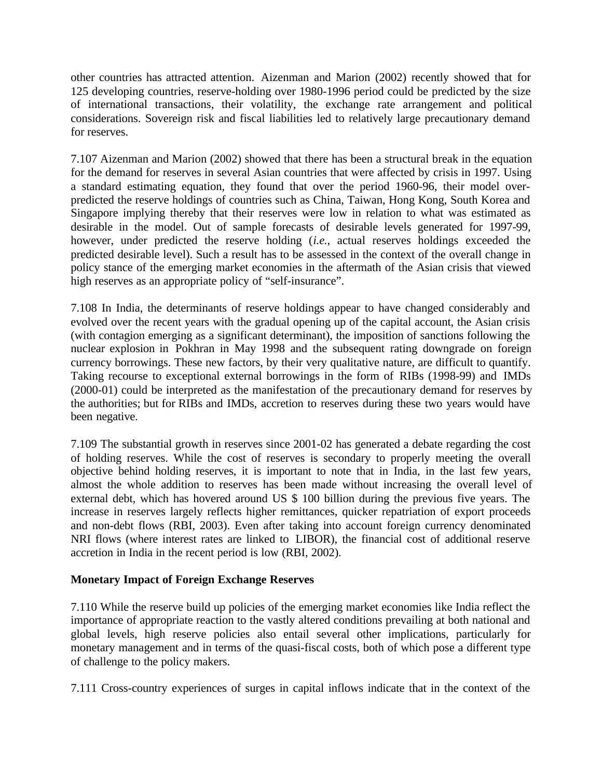other countries has attracted attention. Aizenman and Marion (2002) recently showed that for 125 developing countries, reserve-holding over 1980-1996 period could be predicted by the size of international transactions, their volatility, the exchange rate arrangement and political considerations. Sovereign risk and fiscal liabilities led to relatively large precautionary demand for reserves.

7.107 Aizenman and Marion (2002) showed that there has been a structural break in the equation for the demand for reserves in several Asian countries that were affected by crisis in 1997. Using a standard estimating equation, they found that over the period 1960-96, their model overpredicted the reserve holdings of countries such as China, Taiwan, Hong Kong, South Korea and Singapore implying thereby that their reserves were low in relation to what was estimated as desirable in the model. Out of sample forecasts of desirable levels generated for 1997-99, however, under predicted the reserve holding (*i.e.*, actual reserves holdings exceeded the predicted desirable level). Such a result has to be assessed in the context of the overall change in policy stance of the emerging market economies in the aftermath of the Asian crisis that viewed high reserves as an appropriate policy of "self-insurance".

7.108 In India, the determinants of reserve holdings appear to have changed considerably and evolved over the recent years with the gradual opening up of the capital account, the Asian crisis (with contagion emerging as a significant determinant), the imposition of sanctions following the nuclear explosion in Pokhran in May 1998 and the subsequent rating downgrade on foreign currency borrowings. These new factors, by their very qualitative nature, are difficult to quantify. Taking recourse to exceptional external borrowings in the form of RIBs (1998-99) and IMDs (2000-01) could be interpreted as the manifestation of the precautionary demand for reserves by the authorities; but for RIBs and IMDs, accretion to reserves during these two years would have been negative.

7.109 The substantial growth in reserves since 2001-02 has generated a debate regarding the cost of holding reserves. While the cost of reserves is secondary to properly meeting the overall objective behind holding reserves, it is important to note that in India, in the last few years, almost the whole addition to reserves has been made without increasing the overall level of external debt, which has hovered around US \$ 100 billion during the previous five years. The increase in reserves largely reflects higher remittances, quicker repatriation of export proceeds and non-debt flows (RBI, 2003). Even after taking into account foreign currency denominated NRI flows (where interest rates are linked to LIBOR), the financial cost of additional reserve accretion in India in the recent period is low (RBI, 2002).

# **Monetary Impact of Foreign Exchange Reserves**

7.110 While the reserve build up policies of the emerging market economies like India reflect the importance of appropriate reaction to the vastly altered conditions prevailing at both national and global levels, high reserve policies also entail several other implications, particularly for monetary management and in terms of the quasi-fiscal costs, both of which pose a different type of challenge to the policy makers.

7.111 Cross-country experiences of surges in capital inflows indicate that in the context of the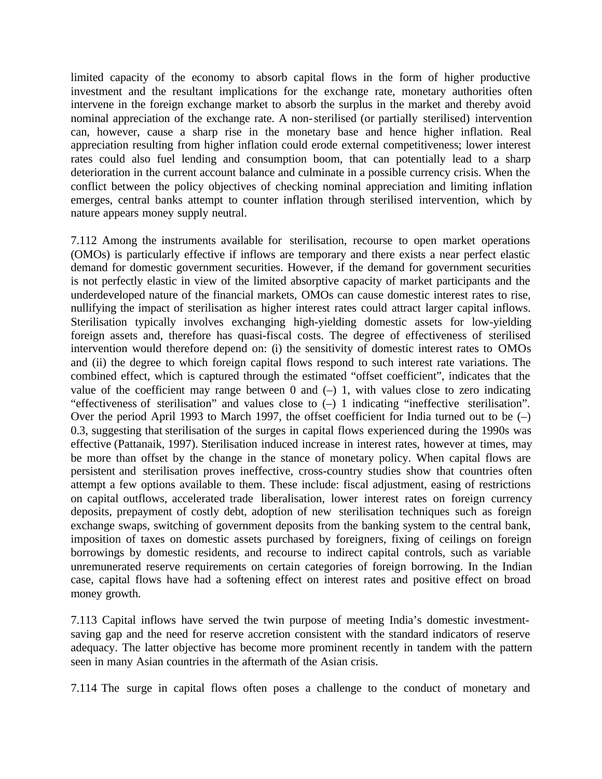limited capacity of the economy to absorb capital flows in the form of higher productive investment and the resultant implications for the exchange rate, monetary authorities often intervene in the foreign exchange market to absorb the surplus in the market and thereby avoid nominal appreciation of the exchange rate. A non-sterilised (or partially sterilised) intervention can, however, cause a sharp rise in the monetary base and hence higher inflation. Real appreciation resulting from higher inflation could erode external competitiveness; lower interest rates could also fuel lending and consumption boom, that can potentially lead to a sharp deterioration in the current account balance and culminate in a possible currency crisis. When the conflict between the policy objectives of checking nominal appreciation and limiting inflation emerges, central banks attempt to counter inflation through sterilised intervention, which by nature appears money supply neutral.

7.112 Among the instruments available for sterilisation, recourse to open market operations (OMOs) is particularly effective if inflows are temporary and there exists a near perfect elastic demand for domestic government securities. However, if the demand for government securities is not perfectly elastic in view of the limited absorptive capacity of market participants and the underdeveloped nature of the financial markets, OMOs can cause domestic interest rates to rise, nullifying the impact of sterilisation as higher interest rates could attract larger capital inflows. Sterilisation typically involves exchanging high-yielding domestic assets for low-yielding foreign assets and, therefore has quasi-fiscal costs. The degree of effectiveness of sterilised intervention would therefore depend on: (i) the sensitivity of domestic interest rates to OMOs and (ii) the degree to which foreign capital flows respond to such interest rate variations. The combined effect, which is captured through the estimated "offset coefficient", indicates that the value of the coefficient may range between  $0$  and  $(-)$  1, with values close to zero indicating "effectiveness of sterilisation" and values close to (–) 1 indicating "ineffective sterilisation". Over the period April 1993 to March 1997, the offset coefficient for India turned out to be (–) 0.3, suggesting that sterilisation of the surges in capital flows experienced during the 1990s was effective (Pattanaik, 1997). Sterilisation induced increase in interest rates, however at times, may be more than offset by the change in the stance of monetary policy. When capital flows are persistent and sterilisation proves ineffective, cross-country studies show that countries often attempt a few options available to them. These include: fiscal adjustment, easing of restrictions on capital outflows, accelerated trade liberalisation, lower interest rates on foreign currency deposits, prepayment of costly debt, adoption of new sterilisation techniques such as foreign exchange swaps, switching of government deposits from the banking system to the central bank, imposition of taxes on domestic assets purchased by foreigners, fixing of ceilings on foreign borrowings by domestic residents, and recourse to indirect capital controls, such as variable unremunerated reserve requirements on certain categories of foreign borrowing. In the Indian case, capital flows have had a softening effect on interest rates and positive effect on broad money growth.

7.113 Capital inflows have served the twin purpose of meeting India's domestic investmentsaving gap and the need for reserve accretion consistent with the standard indicators of reserve adequacy. The latter objective has become more prominent recently in tandem with the pattern seen in many Asian countries in the aftermath of the Asian crisis.

7.114 The surge in capital flows often poses a challenge to the conduct of monetary and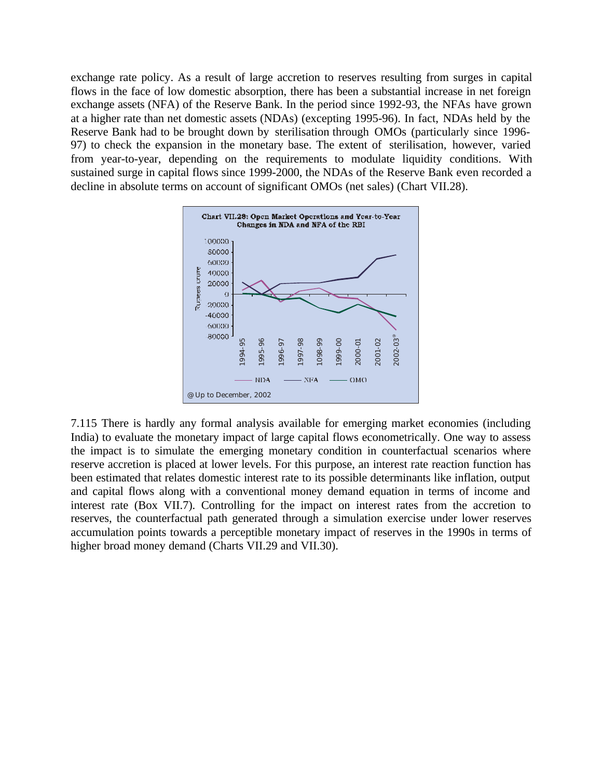exchange rate policy. As a result of large accretion to reserves resulting from surges in capital flows in the face of low domestic absorption, there has been a substantial increase in net foreign exchange assets (NFA) of the Reserve Bank. In the period since 1992-93, the NFAs have grown at a higher rate than net domestic assets (NDAs) (excepting 1995-96). In fact, NDAs held by the Reserve Bank had to be brought down by sterilisation through OMOs (particularly since 1996- 97) to check the expansion in the monetary base. The extent of sterilisation, however, varied from year-to-year, depending on the requirements to modulate liquidity conditions. With sustained surge in capital flows since 1999-2000, the NDAs of the Reserve Bank even recorded a decline in absolute terms on account of significant OMOs (net sales) (Chart VII.28).

![](_page_29_Figure_1.jpeg)

7.115 There is hardly any formal analysis available for emerging market economies (including India) to evaluate the monetary impact of large capital flows econometrically. One way to assess the impact is to simulate the emerging monetary condition in counterfactual scenarios where reserve accretion is placed at lower levels. For this purpose, an interest rate reaction function has been estimated that relates domestic interest rate to its possible determinants like inflation, output and capital flows along with a conventional money demand equation in terms of income and interest rate (Box VII.7). Controlling for the impact on interest rates from the accretion to reserves, the counterfactual path generated through a simulation exercise under lower reserves accumulation points towards a perceptible monetary impact of reserves in the 1990s in terms of higher broad money demand (Charts VII.29 and VII.30).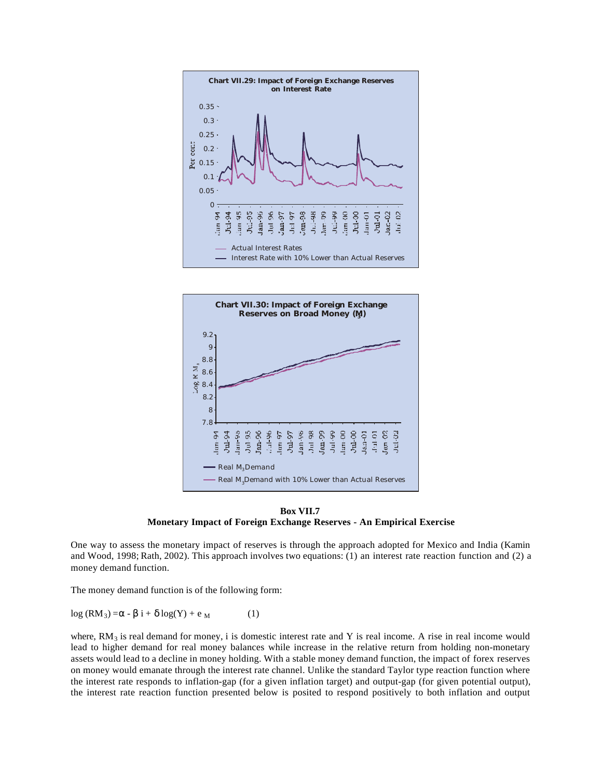![](_page_30_Figure_0.jpeg)

![](_page_30_Figure_1.jpeg)

**Box VII.7 Monetary Impact of Foreign Exchange Reserves - An Empirical Exercise**

One way to assess the monetary impact of reserves is through the approach adopted for Mexico and India (Kamin and Wood, 1998; Rath, 2002). This approach involves two equations: (1) an interest rate reaction function and (2) a money demand function.

The money demand function is of the following form:

log (RM<sub>3</sub>) = α - β i + δ log(Y) + e <sub>M</sub> (1)

where,  $RM_3$  is real demand for money, i is domestic interest rate and Y is real income. A rise in real income would lead to higher demand for real money balances while increase in the relative return from holding non-monetary assets would lead to a decline in money holding. With a stable money demand function, the impact of forex reserves on money would emanate through the interest rate channel. Unlike the standard Taylor type reaction function where the interest rate responds to inflation-gap (for a given inflation target) and output-gap (for given potential output), the interest rate reaction function presented below is posited to respond positively to both inflation and output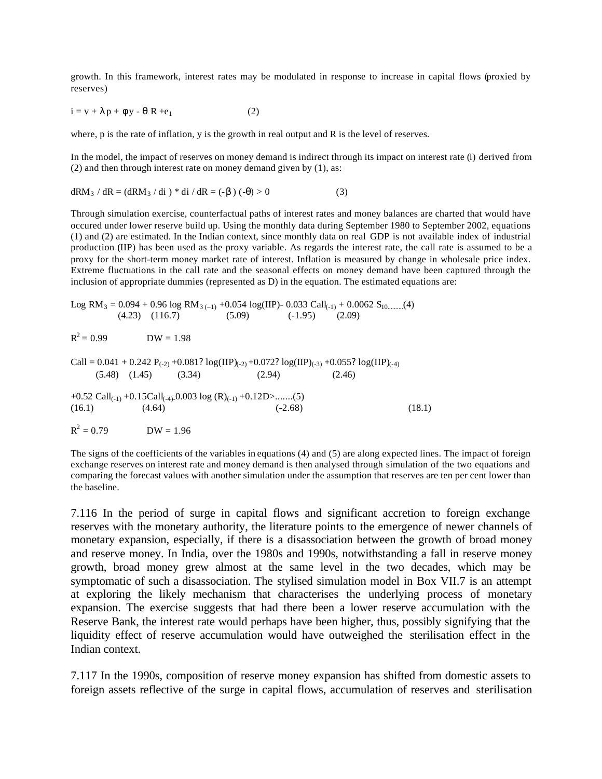growth. In this framework, interest rates may be modulated in response to increase in capital flows (proxied by reserves)

$$
i = v + \lambda p + \phi y - \theta R + e_1
$$
 (2)

where, p is the rate of inflation, y is the growth in real output and R is the level of reserves.

In the model, the impact of reserves on money demand is indirect through its impact on interest rate (i) derived from (2) and then through interest rate on money demand given by (1), as:

$$
dRM_3 / dR = (dRM_3 / di) * di / dR = (-\beta) (-\theta) > 0
$$
 (3)

Through simulation exercise, counterfactual paths of interest rates and money balances are charted that would have occured under lower reserve build up. Using the monthly data during September 1980 to September 2002, equations (1) and (2) are estimated. In the Indian context, since monthly data on real GDP is not available index of industrial production (IIP) has been used as the proxy variable. As regards the interest rate, the call rate is assumed to be a proxy for the short-term money market rate of interest. Inflation is measured by change in wholesale price index. Extreme fluctuations in the call rate and the seasonal effects on money demand have been captured through the inclusion of appropriate dummies (represented as D) in the equation. The estimated equations are:

Log RM3 = 0.094 + 0.96 log RM3 (–1) +0.054 log(IIP)- 0.033 Call(-1) + 0.0062 S10..........(4) (4.23) (116.7) (5.09) (-1.95) (2.09)

 $R^2 = 0.99$  $DW = 1.98$ 

 $Call = 0.041 + 0.242 P_{(-2)} + 0.081?log(II)_{(-2)} + 0.072?log(II)_{(-3)} + 0.055?log(II)_{(-4)}$  $(5.48)$   $(1.45)$   $(3.34)$   $(2.94)$   $(2.46)$ 

+0.52 Call<sub>(-1)</sub> +0.15Call<sub>(-4)</sub>-0.003 log (R)<sub>(-1)</sub> +0.12D>.......(5)  $(16.1)$   $(4.64)$   $(-2.68)$   $(18.1)$ 

 $R^2$  $DW = 1.96$ 

The signs of the coefficients of the variables in equations (4) and (5) are along expected lines. The impact of foreign exchange reserves on interest rate and money demand is then analysed through simulation of the two equations and comparing the forecast values with another simulation under the assumption that reserves are ten per cent lower than the baseline.

7.116 In the period of surge in capital flows and significant accretion to foreign exchange reserves with the monetary authority, the literature points to the emergence of newer channels of monetary expansion, especially, if there is a disassociation between the growth of broad money and reserve money. In India, over the 1980s and 1990s, notwithstanding a fall in reserve money growth, broad money grew almost at the same level in the two decades, which may be symptomatic of such a disassociation. The stylised simulation model in Box VII.7 is an attempt at exploring the likely mechanism that characterises the underlying process of monetary expansion. The exercise suggests that had there been a lower reserve accumulation with the Reserve Bank, the interest rate would perhaps have been higher, thus, possibly signifying that the liquidity effect of reserve accumulation would have outweighed the sterilisation effect in the Indian context.

7.117 In the 1990s, composition of reserve money expansion has shifted from domestic assets to foreign assets reflective of the surge in capital flows, accumulation of reserves and sterilisation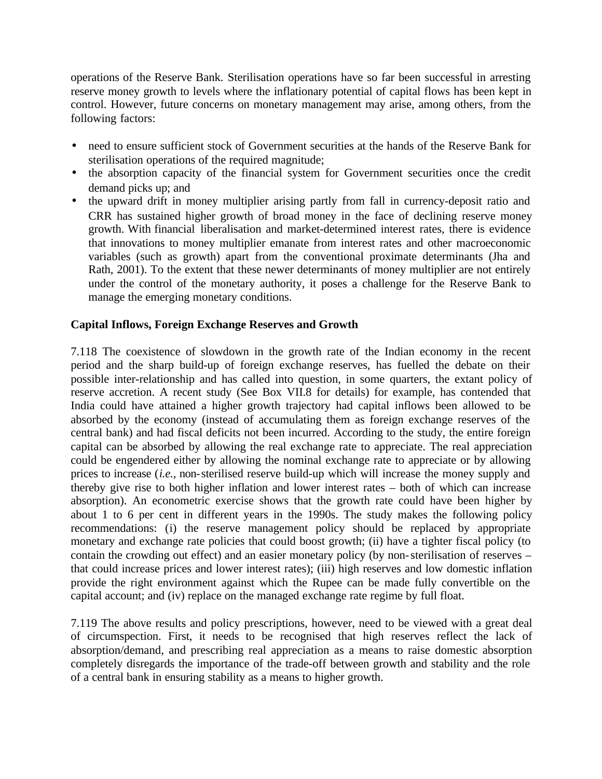operations of the Reserve Bank. Sterilisation operations have so far been successful in arresting reserve money growth to levels where the inflationary potential of capital flows has been kept in control. However, future concerns on monetary management may arise, among others, from the following factors:

- need to ensure sufficient stock of Government securities at the hands of the Reserve Bank for sterilisation operations of the required magnitude;
- the absorption capacity of the financial system for Government securities once the credit demand picks up; and
- the upward drift in money multiplier arising partly from fall in currency-deposit ratio and CRR has sustained higher growth of broad money in the face of declining reserve money growth. With financial liberalisation and market-determined interest rates, there is evidence that innovations to money multiplier emanate from interest rates and other macroeconomic variables (such as growth) apart from the conventional proximate determinants (Jha and Rath, 2001). To the extent that these newer determinants of money multiplier are not entirely under the control of the monetary authority, it poses a challenge for the Reserve Bank to manage the emerging monetary conditions.

# **Capital Inflows, Foreign Exchange Reserves and Growth**

7.118 The coexistence of slowdown in the growth rate of the Indian economy in the recent period and the sharp build-up of foreign exchange reserves, has fuelled the debate on their possible inter-relationship and has called into question, in some quarters, the extant policy of reserve accretion. A recent study (See Box VII.8 for details) for example, has contended that India could have attained a higher growth trajectory had capital inflows been allowed to be absorbed by the economy (instead of accumulating them as foreign exchange reserves of the central bank) and had fiscal deficits not been incurred. According to the study, the entire foreign capital can be absorbed by allowing the real exchange rate to appreciate. The real appreciation could be engendered either by allowing the nominal exchange rate to appreciate or by allowing prices to increase (*i.e.*, non-sterilised reserve build-up which will increase the money supply and thereby give rise to both higher inflation and lower interest rates – both of which can increase absorption). An econometric exercise shows that the growth rate could have been higher by about 1 to 6 per cent in different years in the 1990s. The study makes the following policy recommendations: (i) the reserve management policy should be replaced by appropriate monetary and exchange rate policies that could boost growth; (ii) have a tighter fiscal policy (to contain the crowding out effect) and an easier monetary policy (by non-sterilisation of reserves – that could increase prices and lower interest rates); (iii) high reserves and low domestic inflation provide the right environment against which the Rupee can be made fully convertible on the capital account; and (iv) replace on the managed exchange rate regime by full float.

7.119 The above results and policy prescriptions, however, need to be viewed with a great deal of circumspection. First, it needs to be recognised that high reserves reflect the lack of absorption/demand, and prescribing real appreciation as a means to raise domestic absorption completely disregards the importance of the trade-off between growth and stability and the role of a central bank in ensuring stability as a means to higher growth.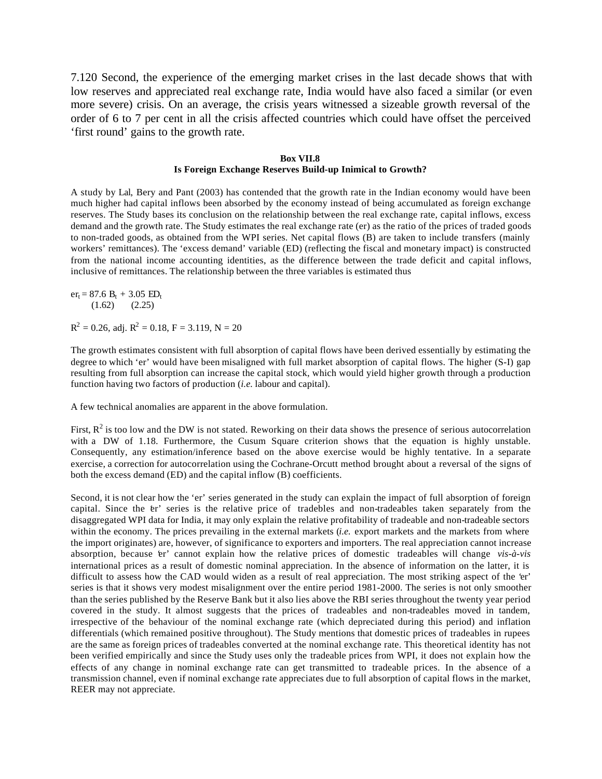7.120 Second, the experience of the emerging market crises in the last decade shows that with low reserves and appreciated real exchange rate, India would have also faced a similar (or even more severe) crisis. On an average, the crisis years witnessed a sizeable growth reversal of the order of 6 to 7 per cent in all the crisis affected countries which could have offset the perceived 'first round' gains to the growth rate.

#### **Box VII.8 Is Foreign Exchange Reserves Build-up Inimical to Growth?**

A study by Lal, Bery and Pant (2003) has contended that the growth rate in the Indian economy would have been much higher had capital inflows been absorbed by the economy instead of being accumulated as foreign exchange reserves. The Study bases its conclusion on the relationship between the real exchange rate, capital inflows, excess demand and the growth rate. The Study estimates the real exchange rate (er) as the ratio of the prices of traded goods to non-traded goods, as obtained from the WPI series. Net capital flows (B) are taken to include transfers (mainly workers' remittances). The 'excess demand' variable (ED) (reflecting the fiscal and monetary impact) is constructed from the national income accounting identities, as the difference between the trade deficit and capital inflows, inclusive of remittances. The relationship between the three variables is estimated thus

 $er_t = 87.6 B_t + 3.05 ED_t$  $(1.62)$   $(2.25)$ 

 $R^2 = 0.26$ , adj.  $R^2 = 0.18$ ,  $F = 3.119$ ,  $N = 20$ 

The growth estimates consistent with full absorption of capital flows have been derived essentially by estimating the degree to which 'er' would have been misaligned with full market absorption of capital flows. The higher (S-I) gap resulting from full absorption can increase the capital stock, which would yield higher growth through a production function having two factors of production (*i.e.* labour and capital).

A few technical anomalies are apparent in the above formulation.

First,  $R^2$  is too low and the DW is not stated. Reworking on their data shows the presence of serious autocorrelation with a DW of 1.18. Furthermore, the Cusum Square criterion shows that the equation is highly unstable. Consequently, any estimation/inference based on the above exercise would be highly tentative. In a separate exercise, a correction for autocorrelation using the Cochrane-Orcutt method brought about a reversal of the signs of both the excess demand (ED) and the capital inflow (B) coefficients.

Second, it is not clear how the 'er' series generated in the study can explain the impact of full absorption of foreign capital. Since the er' series is the relative price of tradebles and non-tradeables taken separately from the disaggregated WPI data for India, it may only explain the relative profitability of tradeable and non-tradeable sectors within the economy. The prices prevailing in the external markets *(i.e.* export markets and the markets from where the import originates) are, however, of significance to exporters and importers. The real appreciation cannot increase absorption, because 'er' cannot explain how the relative prices of domestic tradeables will change *vis-à-vis* international prices as a result of domestic nominal appreciation. In the absence of information on the latter, it is difficult to assess how the CAD would widen as a result of real appreciation. The most striking aspect of the 'er' series is that it shows very modest misalignment over the entire period 1981-2000. The series is not only smoother than the series published by the Reserve Bank but it also lies above the RBI series throughout the twenty year period covered in the study. It almost suggests that the prices of tradeables and non-tradeables moved in tandem, irrespective of the behaviour of the nominal exchange rate (which depreciated during this period) and inflation differentials (which remained positive throughout). The Study mentions that domestic prices of tradeables in rupees are the same as foreign prices of tradeables converted at the nominal exchange rate. This theoretical identity has not been verified empirically and since the Study uses only the tradeable prices from WPI, it does not explain how the effects of any change in nominal exchange rate can get transmitted to tradeable prices. In the absence of a transmission channel, even if nominal exchange rate appreciates due to full absorption of capital flows in the market, REER may not appreciate.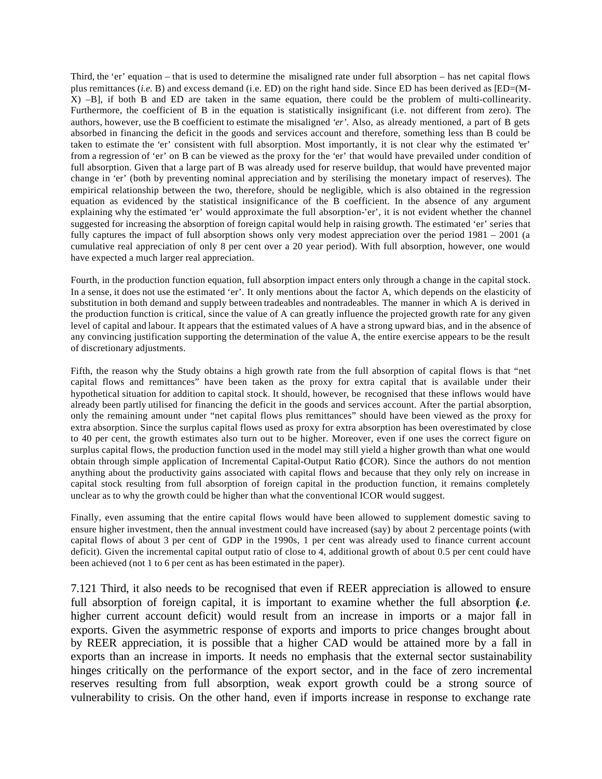Third, the 'er' equation – that is used to determine the misaligned rate under full absorption – has net capital flows plus remittances (*i.e.* B) and excess demand (i.e. ED) on the right hand side. Since ED has been derived as [ED=(M-X) –B], if both B and ED are taken in the same equation, there could be the problem of multi-collinearity. Furthermore, the coefficient of B in the equation is statistically insignificant (i.e. not different from zero). The authors, however, use the B coefficient to estimate the misaligned *'er'*. Also, as already mentioned, a part of B gets absorbed in financing the deficit in the goods and services account and therefore, something less than B could be taken to estimate the 'er' consistent with full absorption. Most importantly, it is not clear why the estimated 'er' from a regression of 'er' on B can be viewed as the proxy for the 'er' that would have prevailed under condition of full absorption. Given that a large part of B was already used for reserve buildup, that would have prevented major change in 'er' (both by preventing nominal appreciation and by sterilising the monetary impact of reserves). The empirical relationship between the two, therefore, should be negligible, which is also obtained in the regression equation as evidenced by the statistical insignificance of the B coefficient. In the absence of any argument explaining why the estimated 'er' would approximate the full absorption-'er', it is not evident whether the channel suggested for increasing the absorption of foreign capital would help in raising growth. The estimated 'er' series that fully captures the impact of full absorption shows only very modest appreciation over the period 1981 – 2001 (a cumulative real appreciation of only 8 per cent over a 20 year period). With full absorption, however, one would have expected a much larger real appreciation.

Fourth, in the production function equation, full absorption impact enters only through a change in the capital stock. In a sense, it does not use the estimated 'er'. It only mentions about the factor A, which depends on the elasticity of substitution in both demand and supply between tradeables and nontradeables. The manner in which A is derived in the production function is critical, since the value of A can greatly influence the projected growth rate for any given level of capital and labour. It appears that the estimated values of A have a strong upward bias, and in the absence of any convincing justification supporting the determination of the value A, the entire exercise appears to be the result of discretionary adjustments.

Fifth, the reason why the Study obtains a high growth rate from the full absorption of capital flows is that "net capital flows and remittances" have been taken as the proxy for extra capital that is available under their hypothetical situation for addition to capital stock. It should, however, be recognised that these inflows would have already been partly utilised for financing the deficit in the goods and services account. After the partial absorption, only the remaining amount under "net capital flows plus remittances" should have been viewed as the proxy for extra absorption. Since the surplus capital flows used as proxy for extra absorption has been overestimated by close to 40 per cent, the growth estimates also turn out to be higher. Moreover, even if one uses the correct figure on surplus capital flows, the production function used in the model may still yield a higher growth than what one would obtain through simple application of Incremental Capital-Output Ratio (ICOR). Since the authors do not mention anything about the productivity gains associated with capital flows and because that they only rely on increase in capital stock resulting from full absorption of foreign capital in the production function, it remains completely unclear as to why the growth could be higher than what the conventional ICOR would suggest.

Finally, even assuming that the entire capital flows would have been allowed to supplement domestic saving to ensure higher investment, then the annual investment could have increased (say) by about 2 percentage points (with capital flows of about 3 per cent of GDP in the 1990s, 1 per cent was already used to finance current account deficit). Given the incremental capital output ratio of close to 4, additional growth of about 0.5 per cent could have been achieved (not 1 to 6 per cent as has been estimated in the paper).

7.121 Third, it also needs to be recognised that even if REER appreciation is allowed to ensure full absorption of foreign capital, it is important to examine whether the full absorption (*i.e.* higher current account deficit) would result from an increase in imports or a major fall in exports. Given the asymmetric response of exports and imports to price changes brought about by REER appreciation, it is possible that a higher CAD would be attained more by a fall in exports than an increase in imports. It needs no emphasis that the external sector sustainability hinges critically on the performance of the export sector, and in the face of zero incremental reserves resulting from full absorption, weak export growth could be a strong source of vulnerability to crisis. On the other hand, even if imports increase in response to exchange rate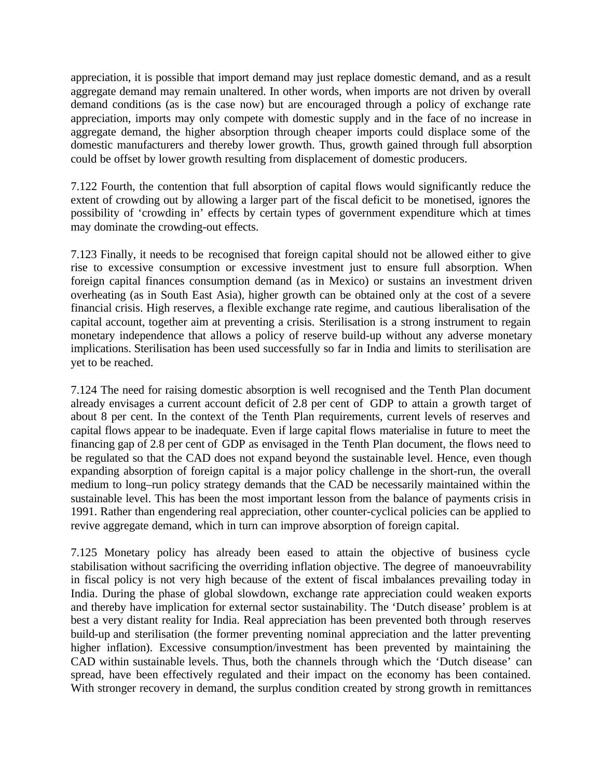appreciation, it is possible that import demand may just replace domestic demand, and as a result aggregate demand may remain unaltered. In other words, when imports are not driven by overall demand conditions (as is the case now) but are encouraged through a policy of exchange rate appreciation, imports may only compete with domestic supply and in the face of no increase in aggregate demand, the higher absorption through cheaper imports could displace some of the domestic manufacturers and thereby lower growth. Thus, growth gained through full absorption could be offset by lower growth resulting from displacement of domestic producers.

7.122 Fourth, the contention that full absorption of capital flows would significantly reduce the extent of crowding out by allowing a larger part of the fiscal deficit to be monetised, ignores the possibility of 'crowding in' effects by certain types of government expenditure which at times may dominate the crowding-out effects.

7.123 Finally, it needs to be recognised that foreign capital should not be allowed either to give rise to excessive consumption or excessive investment just to ensure full absorption. When foreign capital finances consumption demand (as in Mexico) or sustains an investment driven overheating (as in South East Asia), higher growth can be obtained only at the cost of a severe financial crisis. High reserves, a flexible exchange rate regime, and cautious liberalisation of the capital account, together aim at preventing a crisis. Sterilisation is a strong instrument to regain monetary independence that allows a policy of reserve build-up without any adverse monetary implications. Sterilisation has been used successfully so far in India and limits to sterilisation are yet to be reached.

7.124 The need for raising domestic absorption is well recognised and the Tenth Plan document already envisages a current account deficit of 2.8 per cent of GDP to attain a growth target of about 8 per cent. In the context of the Tenth Plan requirements, current levels of reserves and capital flows appear to be inadequate. Even if large capital flows materialise in future to meet the financing gap of 2.8 per cent of GDP as envisaged in the Tenth Plan document, the flows need to be regulated so that the CAD does not expand beyond the sustainable level. Hence, even though expanding absorption of foreign capital is a major policy challenge in the short-run, the overall medium to long–run policy strategy demands that the CAD be necessarily maintained within the sustainable level. This has been the most important lesson from the balance of payments crisis in 1991. Rather than engendering real appreciation, other counter-cyclical policies can be applied to revive aggregate demand, which in turn can improve absorption of foreign capital.

7.125 Monetary policy has already been eased to attain the objective of business cycle stabilisation without sacrificing the overriding inflation objective. The degree of manoeuvrability in fiscal policy is not very high because of the extent of fiscal imbalances prevailing today in India. During the phase of global slowdown, exchange rate appreciation could weaken exports and thereby have implication for external sector sustainability. The 'Dutch disease' problem is at best a very distant reality for India. Real appreciation has been prevented both through reserves build-up and sterilisation (the former preventing nominal appreciation and the latter preventing higher inflation). Excessive consumption/investment has been prevented by maintaining the CAD within sustainable levels. Thus, both the channels through which the 'Dutch disease' can spread, have been effectively regulated and their impact on the economy has been contained. With stronger recovery in demand, the surplus condition created by strong growth in remittances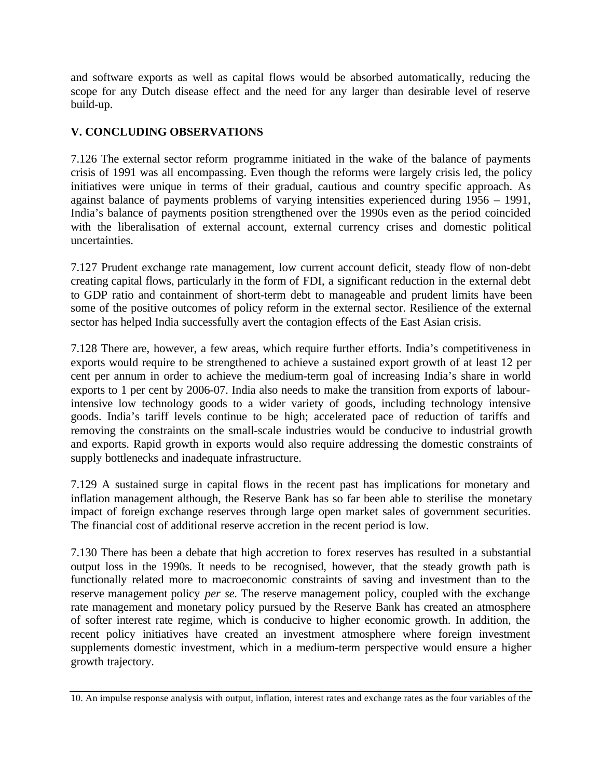and software exports as well as capital flows would be absorbed automatically, reducing the scope for any Dutch disease effect and the need for any larger than desirable level of reserve build-up.

# **V. CONCLUDING OBSERVATIONS**

7.126 The external sector reform programme initiated in the wake of the balance of payments crisis of 1991 was all encompassing. Even though the reforms were largely crisis led, the policy initiatives were unique in terms of their gradual, cautious and country specific approach. As against balance of payments problems of varying intensities experienced during 1956 – 1991, India's balance of payments position strengthened over the 1990s even as the period coincided with the liberalisation of external account, external currency crises and domestic political uncertainties.

7.127 Prudent exchange rate management, low current account deficit, steady flow of non-debt creating capital flows, particularly in the form of FDI, a significant reduction in the external debt to GDP ratio and containment of short-term debt to manageable and prudent limits have been some of the positive outcomes of policy reform in the external sector. Resilience of the external sector has helped India successfully avert the contagion effects of the East Asian crisis.

7.128 There are, however, a few areas, which require further efforts. India's competitiveness in exports would require to be strengthened to achieve a sustained export growth of at least 12 per cent per annum in order to achieve the medium-term goal of increasing India's share in world exports to 1 per cent by 2006-07. India also needs to make the transition from exports of labourintensive low technology goods to a wider variety of goods, including technology intensive goods. India's tariff levels continue to be high; accelerated pace of reduction of tariffs and removing the constraints on the small-scale industries would be conducive to industrial growth and exports. Rapid growth in exports would also require addressing the domestic constraints of supply bottlenecks and inadequate infrastructure.

7.129 A sustained surge in capital flows in the recent past has implications for monetary and inflation management although, the Reserve Bank has so far been able to sterilise the monetary impact of foreign exchange reserves through large open market sales of government securities. The financial cost of additional reserve accretion in the recent period is low.

7.130 There has been a debate that high accretion to forex reserves has resulted in a substantial output loss in the 1990s. It needs to be recognised, however, that the steady growth path is functionally related more to macroeconomic constraints of saving and investment than to the reserve management policy *per se.* The reserve management policy, coupled with the exchange rate management and monetary policy pursued by the Reserve Bank has created an atmosphere of softer interest rate regime, which is conducive to higher economic growth. In addition, the recent policy initiatives have created an investment atmosphere where foreign investment supplements domestic investment, which in a medium-term perspective would ensure a higher growth trajectory.

<sup>10.</sup> An impulse response analysis with output, inflation, interest rates and exchange rates as the four variables of the